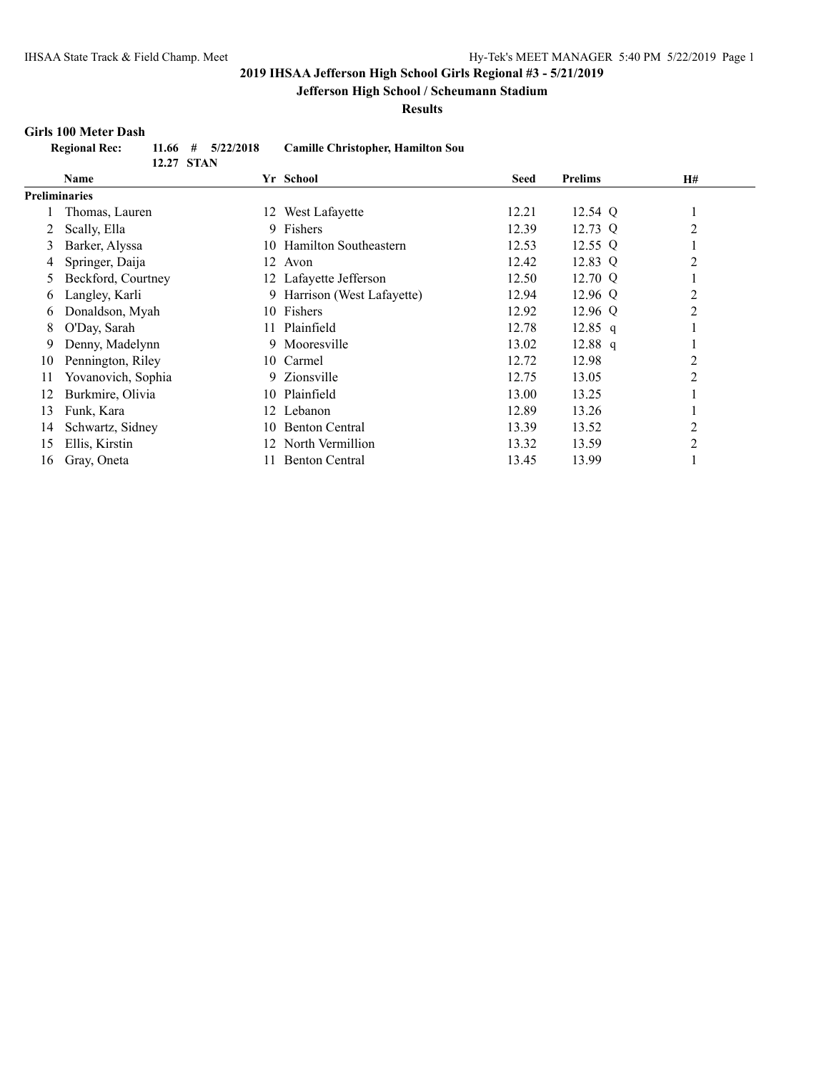## **Jefferson High School / Scheumann Stadium**

**Results**

#### **Girls 100 Meter Dash**

| <b>Regional Rec:</b> |            | $11.66$ # $5/22/2018$ | <b>Camille Christopher, Hamilton Sou</b> |
|----------------------|------------|-----------------------|------------------------------------------|
|                      | 12.27 STAN |                       |                                          |

|    | <b>Name</b>          |     | Yr School                   | <b>Seed</b> | <b>Prelims</b> | <b>H#</b>      |
|----|----------------------|-----|-----------------------------|-------------|----------------|----------------|
|    | <b>Preliminaries</b> |     |                             |             |                |                |
|    | Thomas, Lauren       |     | 12 West Lafayette           | 12.21       | 12.54 Q        | 1              |
|    | Scally, Ella         | 9.  | Fishers                     | 12.39       | 12.73 Q        | $\overline{2}$ |
| 3  | Barker, Alyssa       | 10. | Hamilton Southeastern       | 12.53       | 12.55 $Q$      |                |
| 4  | Springer, Daija      |     | 12 Avon                     | 12.42       | 12.83 Q        | $\overline{2}$ |
| 5  | Beckford, Courtney   |     | 12 Lafayette Jefferson      | 12.50       | 12.70 Q        |                |
| 6  | Langley, Karli       |     | 9 Harrison (West Lafayette) | 12.94       | 12.96 Q        | 2              |
| 6  | Donaldson, Myah      |     | 10 Fishers                  | 12.92       | 12.96 Q        | 2              |
| 8  | O'Day, Sarah         |     | 11 Plainfield               | 12.78       | $12.85$ q      | 1              |
| 9  | Denny, Madelynn      | 9.  | Mooresville                 | 13.02       | $12.88$ q      | 1              |
| 10 | Pennington, Riley    |     | 10 Carmel                   | 12.72       | 12.98          | 2              |
| 11 | Yovanovich, Sophia   | 9.  | Zionsville                  | 12.75       | 13.05          | 2              |
| 12 | Burkmire, Olivia     | 10. | Plainfield                  | 13.00       | 13.25          |                |
| 13 | Funk, Kara           | 12. | Lebanon                     | 12.89       | 13.26          |                |
| 14 | Schwartz, Sidney     | 10  | <b>Benton Central</b>       | 13.39       | 13.52          | 2              |
| 15 | Ellis, Kirstin       |     | 12 North Vermillion         | 13.32       | 13.59          | $\overline{c}$ |
| 16 | Gray, Oneta          |     | <b>Benton Central</b>       | 13.45       | 13.99          |                |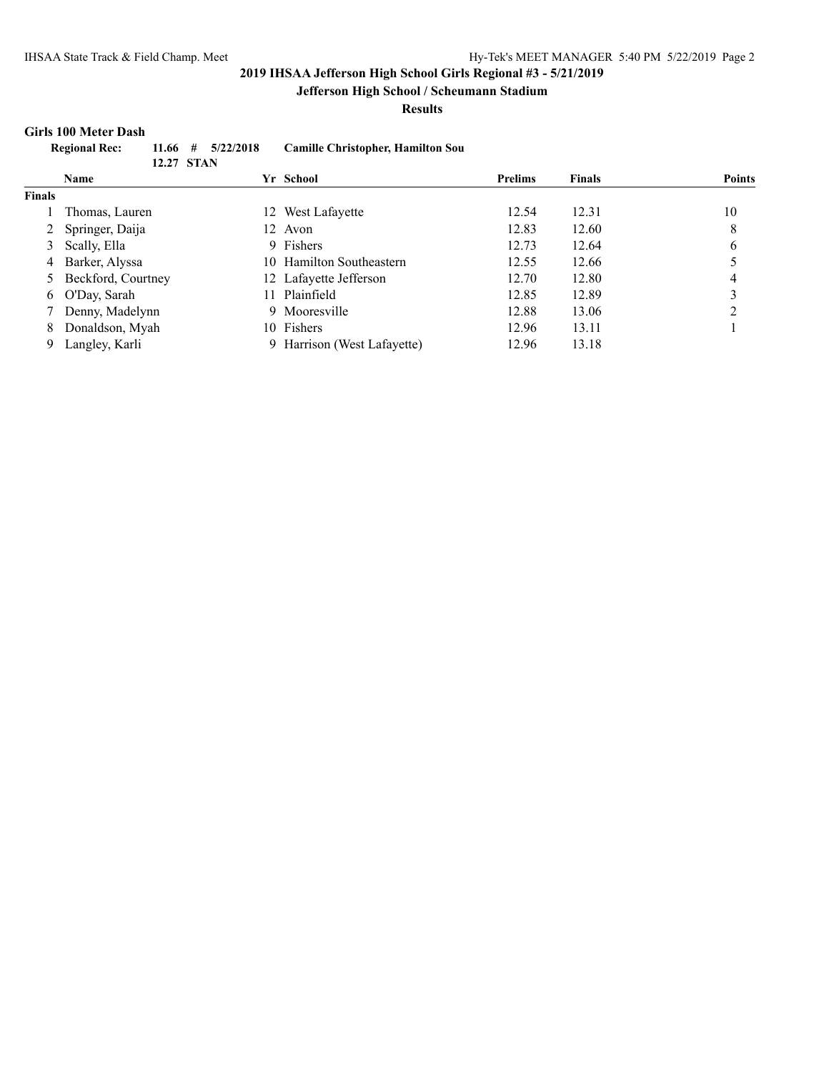## **Jefferson High School / Scheumann Stadium**

**Results**

# **Girls 100 Meter Dash**

|               | VIII'IS TUU IYIELEE IJASH |                                       |     |                                          |                |               |               |  |  |
|---------------|---------------------------|---------------------------------------|-----|------------------------------------------|----------------|---------------|---------------|--|--|
|               | <b>Regional Rec:</b>      | 5/22/2018<br>11.66<br>#<br>12.27 STAN |     | <b>Camille Christopher, Hamilton Sou</b> |                |               |               |  |  |
|               | Name                      |                                       |     | Yr School                                | <b>Prelims</b> | <b>Finals</b> | <b>Points</b> |  |  |
| <b>Finals</b> |                           |                                       |     |                                          |                |               |               |  |  |
|               | Thomas, Lauren            |                                       | 12  | West Lafayette                           | 12.54          | 12.31         | 10            |  |  |
|               | Springer, Daija           |                                       | 12  | Avon                                     | 12.83          | 12.60         | 8             |  |  |
| 3             | Scally, Ella              |                                       | 9.  | Fishers                                  | 12.73          | 12.64         | 6             |  |  |
| 4             | Barker, Alyssa            |                                       |     | 10 Hamilton Southeastern                 | 12.55          | 12.66         |               |  |  |
|               | Beckford, Courtney        |                                       |     | 12 Lafayette Jefferson                   | 12.70          | 12.80         | 4             |  |  |
| 6             | O'Day, Sarah              |                                       | 11. | Plainfield                               | 12.85          | 12.89         | 3             |  |  |
|               | Denny, Madelynn           |                                       | 9.  | Mooresville                              | 12.88          | 13.06         | ◠             |  |  |
| 8             | Donaldson, Myah           |                                       |     | 10 Fishers                               | 12.96          | 13.11         |               |  |  |
| 9             | Langley, Karli            |                                       |     | 9 Harrison (West Lafayette)              | 12.96          | 13.18         |               |  |  |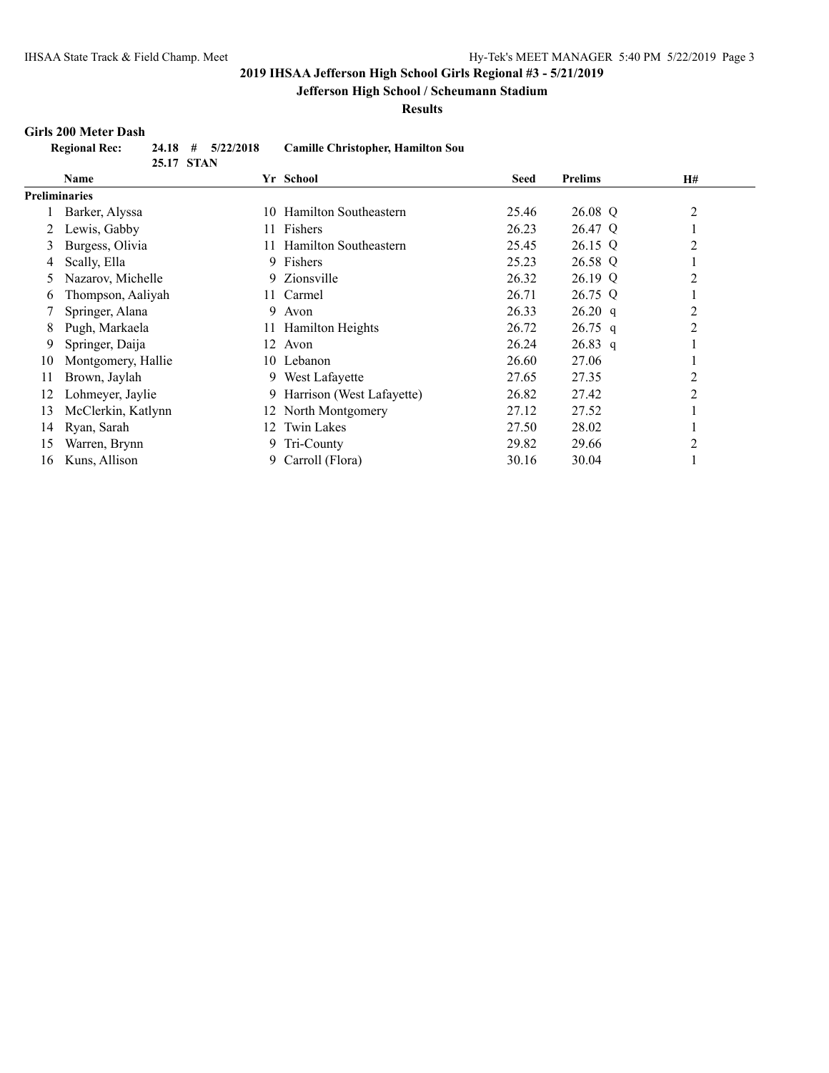## **Jefferson High School / Scheumann Stadium**

**Results**

#### **Girls 200 Meter Dash**

| <b>Regional Rec:</b> |            | $24.18$ # $5/22/2018$ | <b>Camille Christopher, Hamilton Sou</b> |
|----------------------|------------|-----------------------|------------------------------------------|
|                      | 25.17 STAN |                       |                                          |

|    | <b>Name</b>          |      | Yr School                 | Seed  | <b>Prelims</b> | <b>H#</b>      |
|----|----------------------|------|---------------------------|-------|----------------|----------------|
|    | <b>Preliminaries</b> |      |                           |       |                |                |
|    | Barker, Alyssa       | 10.  | Hamilton Southeastern     | 25.46 | 26.08 Q        | $\overline{c}$ |
|    | Lewis, Gabby         |      | 11 Fishers                | 26.23 | 26.47 Q        |                |
| 3  | Burgess, Olivia      |      | 11 Hamilton Southeastern  | 25.45 | 26.15 Q        | $\overline{2}$ |
| 4  | Scally, Ella         |      | 9 Fishers                 | 25.23 | 26.58 Q        |                |
| 5  | Nazarov, Michelle    | 9.   | Zionsville                | 26.32 | 26.19 Q        | $\overline{2}$ |
| 6  | Thompson, Aaliyah    | 11 - | Carmel                    | 26.71 | 26.75 Q        |                |
|    | Springer, Alana      | 9    | Avon                      | 26.33 | 26.20 q        | 2              |
| 8  | Pugh, Markaela       |      | 11 Hamilton Heights       | 26.72 | $26.75$ q      | $\overline{2}$ |
| 9  | Springer, Daija      | 12.  | Avon                      | 26.24 | $26.83$ q      |                |
| 10 | Montgomery, Hallie   |      | 10 Lebanon                | 26.60 | 27.06          |                |
| 11 | Brown, Jaylah        |      | 9 West Lafayette          | 27.65 | 27.35          | $\overline{2}$ |
| 12 | Lohmeyer, Jaylie     | 9.   | Harrison (West Lafayette) | 26.82 | 27.42          | $\overline{2}$ |
| 13 | McClerkin, Katlynn   |      | 12 North Montgomery       | 27.12 | 27.52          |                |
| 14 | Ryan, Sarah          | 12.  | Twin Lakes                | 27.50 | 28.02          |                |
| 15 | Warren, Brynn        |      | 9 Tri-County              | 29.82 | 29.66          | $\overline{2}$ |
| 16 | Kuns, Allison        | 9.   | Carroll (Flora)           | 30.16 | 30.04          |                |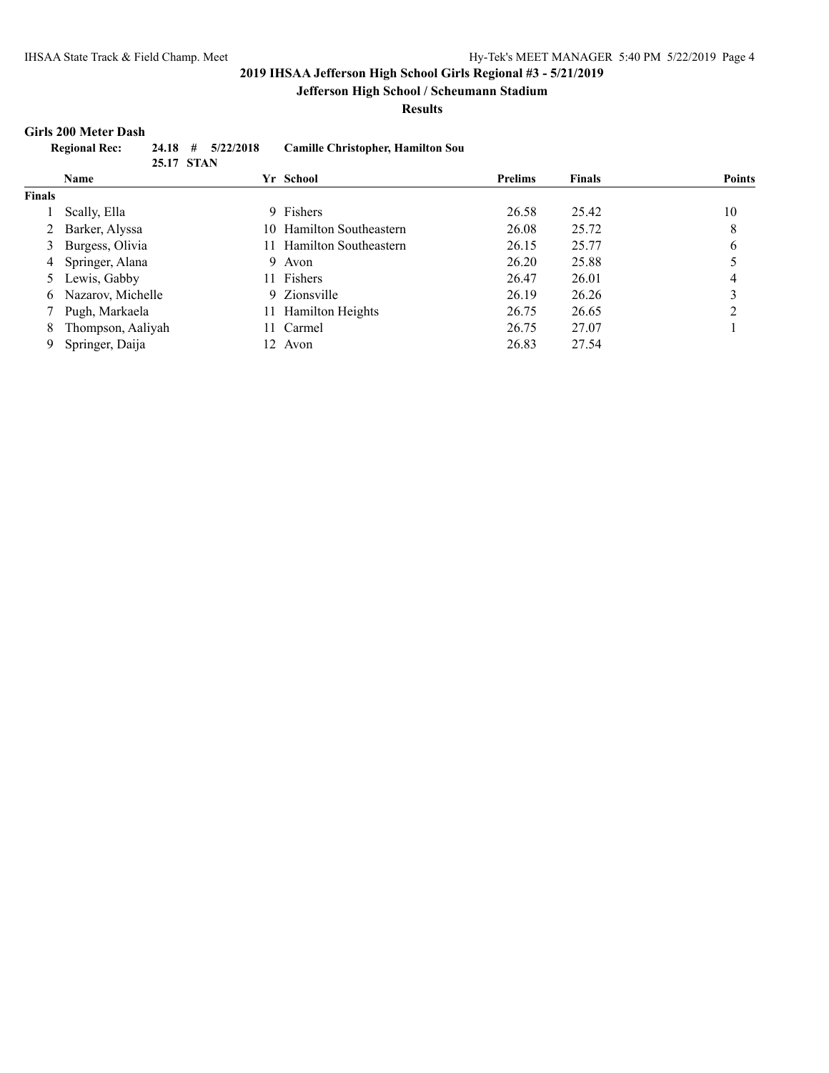## **Jefferson High School / Scheumann Stadium**

**Results**

#### **Girls 200 Meter Dash**

| 24.18<br><b>Regional Rec:</b> |                   | #<br>5/22/2018<br><b>Camille Christopher, Hamilton Sou</b><br>25.17 STAN |     |                         |                |               |        |
|-------------------------------|-------------------|--------------------------------------------------------------------------|-----|-------------------------|----------------|---------------|--------|
|                               | <b>Name</b>       |                                                                          |     | Yr School               | <b>Prelims</b> | <b>Finals</b> | Points |
| <b>Finals</b>                 |                   |                                                                          |     |                         |                |               |        |
|                               | Scally, Ella      |                                                                          |     | 9 Fishers               | 26.58          | 25.42         | 10     |
| 2                             | Barker, Alyssa    |                                                                          | 10. | Hamilton Southeastern   | 26.08          | 25.72         | 8      |
| 3                             | Burgess, Olivia   |                                                                          | 11. | Hamilton Southeastern   | 26.15          | 25.77         | 6      |
| 4                             | Springer, Alana   |                                                                          | 9   | Avon                    | 26.20          | 25.88         |        |
|                               | 5 Lewis, Gabby    |                                                                          | 11. | Fishers                 | 26.47          | 26.01         | 4      |
| 6                             | Nazarov, Michelle |                                                                          |     | 9 Zionsville            | 26.19          | 26.26         | 3      |
|                               | Pugh, Markaela    |                                                                          | 11. | <b>Hamilton Heights</b> | 26.75          | 26.65         | ◠      |
| 8                             | Thompson, Aaliyah |                                                                          | 11. | Carmel                  | 26.75          | 27.07         |        |
| 9                             | Springer, Daija   |                                                                          |     | 12 Avon                 | 26.83          | 27.54         |        |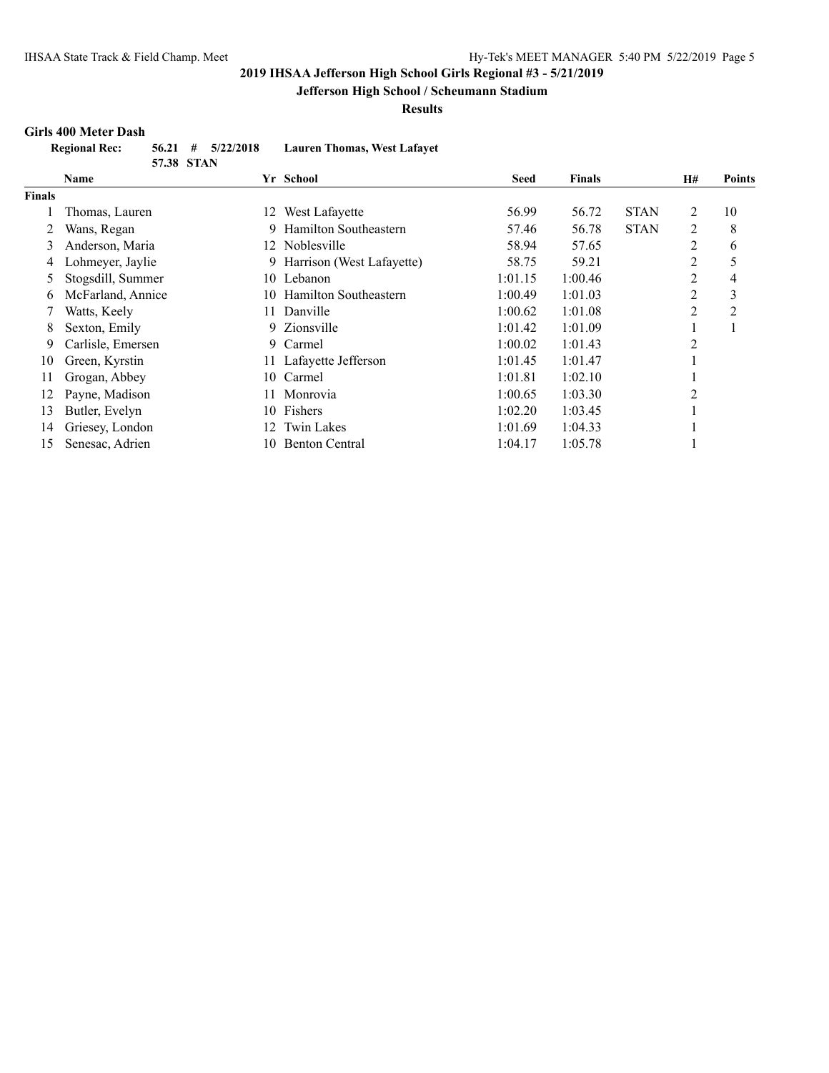## **Jefferson High School / Scheumann Stadium**

**Results**

#### **Girls 400 Meter Dash**

| <b>Regional Rec:</b> |            | $56.21$ # $5/22/2018$ | Lauren Thomas, West Lafavet |
|----------------------|------------|-----------------------|-----------------------------|
|                      | 57.38 STAN |                       |                             |

|               | Name              |     | Yr School                   | <b>Seed</b> | <b>Finals</b> |             | <b>H#</b>      | Points         |
|---------------|-------------------|-----|-----------------------------|-------------|---------------|-------------|----------------|----------------|
| <b>Finals</b> |                   |     |                             |             |               |             |                |                |
|               | Thomas, Lauren    | 12  | West Lafayette              | 56.99       | 56.72         | <b>STAN</b> | 2              | 10             |
| 2             | Wans, Regan       |     | 9 Hamilton Southeastern     | 57.46       | 56.78         | <b>STAN</b> | 2              | 8              |
| 3             | Anderson, Maria   |     | 12 Noblesville              | 58.94       | 57.65         |             | 2              | 6              |
| 4             | Lohmeyer, Jaylie  |     | 9 Harrison (West Lafayette) | 58.75       | 59.21         |             | 2              | 5              |
| 5             | Stogsdill, Summer | 10- | Lebanon                     | 1:01.15     | 1:00.46       |             | $\overline{c}$ | 4              |
| 6             | McFarland, Annice |     | 10 Hamilton Southeastern    | 1:00.49     | 1:01.03       |             | 2              | 3              |
|               | Watts, Keely      | 11. | Danville                    | 1:00.62     | 1:01.08       |             | 2              | $\overline{2}$ |
| 8             | Sexton, Emily     |     | 9 Zionsville                | 1:01.42     | 1:01.09       |             |                |                |
| 9             | Carlisle, Emersen |     | 9 Carmel                    | 1:00.02     | 1:01.43       |             | 2              |                |
| 10            | Green, Kyrstin    |     | 11 Lafayette Jefferson      | 1:01.45     | 1:01.47       |             |                |                |
| 11            | Grogan, Abbey     |     | 10 Carmel                   | 1:01.81     | 1:02.10       |             |                |                |
| 12            | Payne, Madison    | 11. | Monrovia                    | 1:00.65     | 1:03.30       |             | 2              |                |
| 13            | Butler, Evelyn    | 10- | Fishers                     | 1:02.20     | 1:03.45       |             |                |                |
| 14            | Griesey, London   | 12  | <b>Twin Lakes</b>           | 1:01.69     | 1:04.33       |             |                |                |
| 15            | Senesac, Adrien   | 10- | <b>Benton Central</b>       | 1:04.17     | 1:05.78       |             |                |                |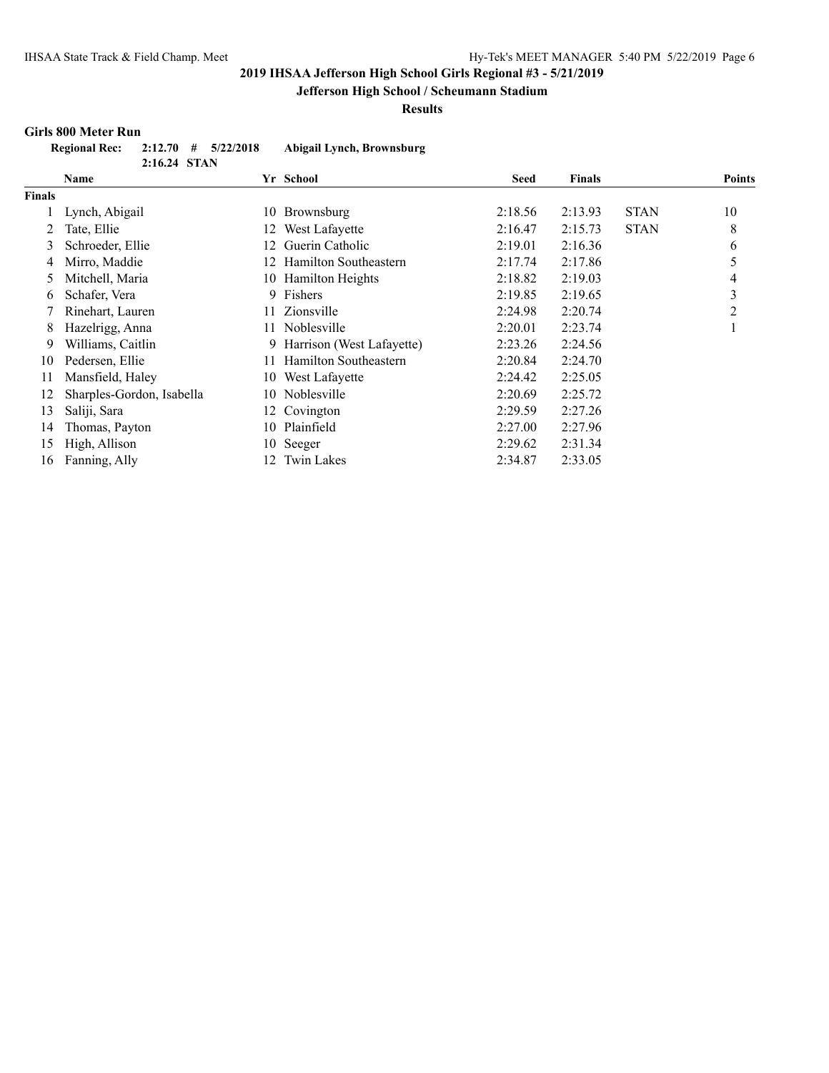## **Jefferson High School / Scheumann Stadium**

**Results**

#### **Girls 800 Meter Run**

| <b>Regional Rec:</b> |              | $2:12.70$ # $5/22/2018$ | Abigail Lynch, Brownsburg |
|----------------------|--------------|-------------------------|---------------------------|
|                      | 2:16.24 STAN |                         |                           |

|        | Name                      |     | Yr School                 | <b>Seed</b> | <b>Finals</b> |             | <b>Points</b> |
|--------|---------------------------|-----|---------------------------|-------------|---------------|-------------|---------------|
| Finals |                           |     |                           |             |               |             |               |
|        | Lynch, Abigail            | 10  | Brownsburg                | 2:18.56     | 2:13.93       | <b>STAN</b> | 10            |
|        | Tate, Ellie               | 12  | West Lafayette            | 2:16.47     | 2:15.73       | <b>STAN</b> | 8             |
| 3      | Schroeder, Ellie          | 12. | Guerin Catholic           | 2:19.01     | 2:16.36       |             | 6             |
| 4      | Mirro, Maddie             |     | Hamilton Southeastern     | 2:17.74     | 2:17.86       |             | 5             |
| 5      | Mitchell, Maria           |     | 10 Hamilton Heights       | 2:18.82     | 2:19.03       |             | 4             |
| 6      | Schafer, Vera             | 9   | Fishers                   | 2:19.85     | 2:19.65       |             | 3             |
|        | Rinehart, Lauren          | 11  | Zionsville                | 2:24.98     | 2:20.74       |             | 2             |
| 8      | Hazelrigg, Anna           | 11. | Noblesville               | 2:20.01     | 2:23.74       |             | 1             |
| 9      | Williams, Caitlin         | 9   | Harrison (West Lafayette) | 2:23.26     | 2:24.56       |             |               |
| 10     | Pedersen, Ellie           | 11  | Hamilton Southeastern     | 2:20.84     | 2:24.70       |             |               |
| 11     | Mansfield, Haley          | 10  | West Lafayette            | 2:24.42     | 2:25.05       |             |               |
| 12     | Sharples-Gordon, Isabella | 10  | Noblesville               | 2:20.69     | 2:25.72       |             |               |
| 13     | Saliji, Sara              |     | 12 Covington              | 2:29.59     | 2:27.26       |             |               |
| 14     | Thomas, Payton            | 10. | Plainfield                | 2:27.00     | 2:27.96       |             |               |
| 15     | High, Allison             |     | 10 Seeger                 | 2:29.62     | 2:31.34       |             |               |
| 16     | Fanning, Ally             | 12  | Twin Lakes                | 2:34.87     | 2:33.05       |             |               |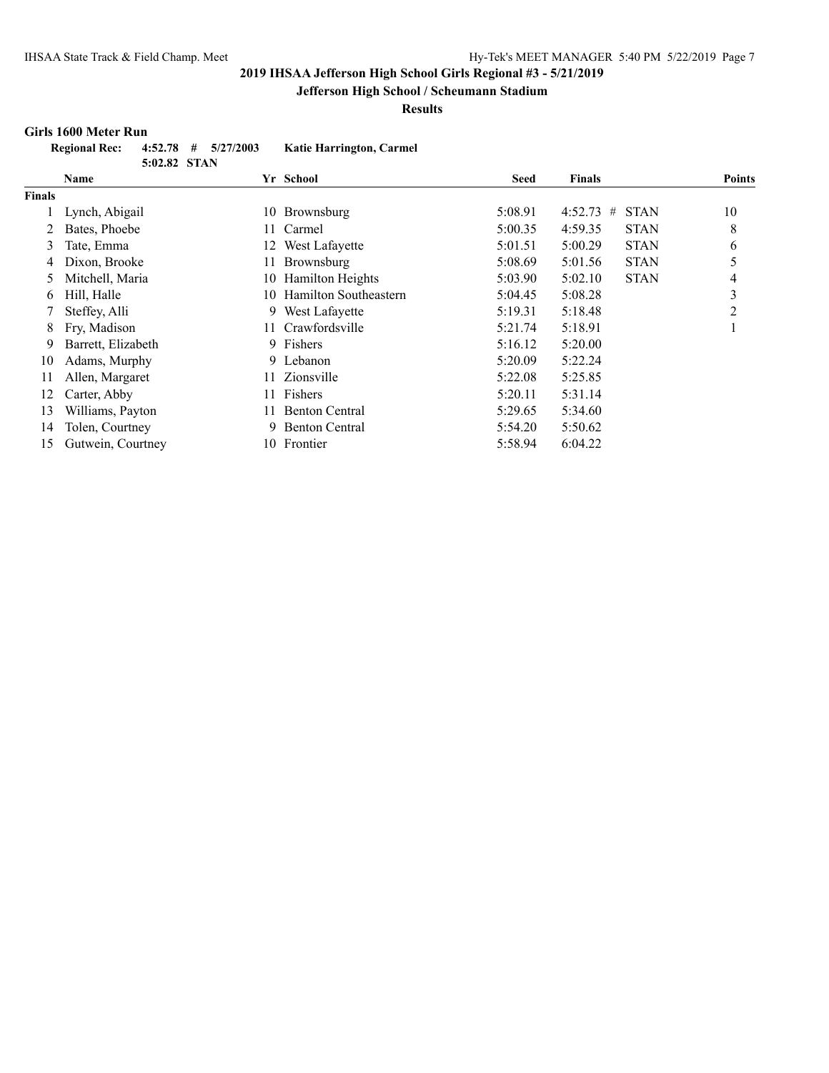## **Jefferson High School / Scheumann Stadium**

**Results**

#### **Girls 1600 Meter Run**

| <b>Regional Rec:</b> |              | $4:52.78$ # $5/27/2003$ | <b>Katie Harrington, Carmel</b> |
|----------------------|--------------|-------------------------|---------------------------------|
|                      | 5:02.82 STAN |                         |                                 |

|               | Yr School<br>Name  |     | <b>Seed</b>           | <b>Finals</b> | <b>Points</b>               |                |
|---------------|--------------------|-----|-----------------------|---------------|-----------------------------|----------------|
| <b>Finals</b> |                    |     |                       |               |                             |                |
|               | Lynch, Abigail     |     | 10 Brownsburg         | 5:08.91       | 4:52.73<br><b>STAN</b><br># | 10             |
| 2             | Bates, Phoebe      | 11- | Carmel                | 5:00.35       | 4:59.35<br><b>STAN</b>      | 8              |
| 3             | Tate, Emma         | 12  | West Lafayette        | 5:01.51       | <b>STAN</b><br>5:00.29      | 6              |
| 4             | Dixon, Brooke      | 11. | Brownsburg            | 5:08.69       | 5:01.56<br><b>STAN</b>      | 5              |
| 5.            | Mitchell, Maria    | 10  | Hamilton Heights      | 5:03.90       | 5:02.10<br><b>STAN</b>      | 4              |
| 6             | Hill, Halle        | 10. | Hamilton Southeastern | 5:04.45       | 5:08.28                     | 3              |
|               | Steffey, Alli      |     | 9 West Lafayette      | 5:19.31       | 5:18.48                     | $\overline{2}$ |
| 8             | Fry, Madison       |     | 11 Crawfordsville     | 5:21.74       | 5:18.91                     |                |
| 9             | Barrett, Elizabeth |     | 9 Fishers             | 5:16.12       | 5:20.00                     |                |
| 10            | Adams, Murphy      |     | 9 Lebanon             | 5:20.09       | 5:22.24                     |                |
| 11            | Allen, Margaret    | 11  | Zionsville            | 5:22.08       | 5:25.85                     |                |
| 12            | Carter, Abby       | 11. | Fishers               | 5:20.11       | 5:31.14                     |                |
| 13            | Williams, Payton   | 11  | <b>Benton Central</b> | 5:29.65       | 5:34.60                     |                |
| 14            | Tolen, Courtney    | 9   | <b>Benton Central</b> | 5:54.20       | 5:50.62                     |                |
| 15            | Gutwein, Courtney  | 10  | Frontier              | 5:58.94       | 6:04.22                     |                |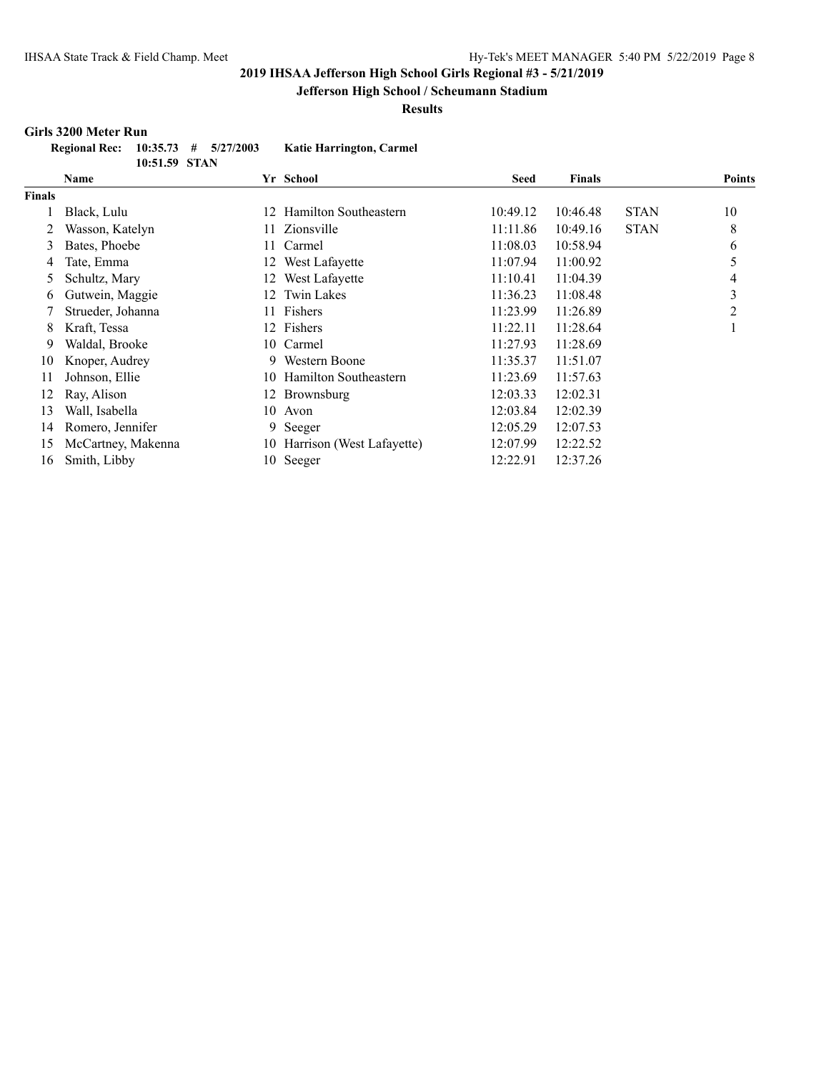## **Jefferson High School / Scheumann Stadium**

**Results**

#### **Girls 3200 Meter Run**

| Regional Rec: $10:35.73$ # $5/27/2003$ |               |  | <b>Katie Harrington, Carmel</b> |
|----------------------------------------|---------------|--|---------------------------------|
|                                        | 10:51.59 STAN |  |                                 |

|        | Name               |     | Yr School                    | <b>Seed</b> | <b>Finals</b> |             | <b>Points</b> |
|--------|--------------------|-----|------------------------------|-------------|---------------|-------------|---------------|
| Finals |                    |     |                              |             |               |             |               |
|        | Black, Lulu        | 12  | Hamilton Southeastern        | 10:49.12    | 10:46.48      | <b>STAN</b> | 10            |
| 2      | Wasson, Katelyn    | 11  | Zionsville                   | 11:11.86    | 10:49.16      | <b>STAN</b> | 8             |
| 3      | Bates, Phoebe      | 11  | Carmel                       | 11:08.03    | 10:58.94      |             | 6             |
| 4      | Tate, Emma         | 12. | West Lafayette               | 11:07.94    | 11:00.92      |             | 5             |
| 5      | Schultz, Mary      | 12. | West Lafayette               | 11:10.41    | 11:04.39      |             | 4             |
| 6      | Gutwein, Maggie    | 12  | Twin Lakes                   | 11:36.23    | 11:08.48      |             | 3             |
|        | Strueder, Johanna  | 11. | Fishers                      | 11:23.99    | 11:26.89      |             | 2             |
| 8      | Kraft, Tessa       |     | 12 Fishers                   | 11:22.11    | 11:28.64      |             |               |
| 9      | Waldal, Brooke     |     | 10 Carmel                    | 11:27.93    | 11:28.69      |             |               |
| 10     | Knoper, Audrey     | 9   | Western Boone                | 11:35.37    | 11:51.07      |             |               |
| 11     | Johnson, Ellie     | 10- | Hamilton Southeastern        | 11:23.69    | 11:57.63      |             |               |
| 12     | Ray, Alison        |     | 12 Brownsburg                | 12:03.33    | 12:02.31      |             |               |
| 13     | Wall, Isabella     | 10  | Avon                         | 12:03.84    | 12:02.39      |             |               |
| 14     | Romero, Jennifer   | 9   | Seeger                       | 12:05.29    | 12:07.53      |             |               |
| 15     | McCartney, Makenna |     | 10 Harrison (West Lafayette) | 12:07.99    | 12:22.52      |             |               |
| 16     | Smith, Libby       |     | 10 Seeger                    | 12:22.91    | 12:37.26      |             |               |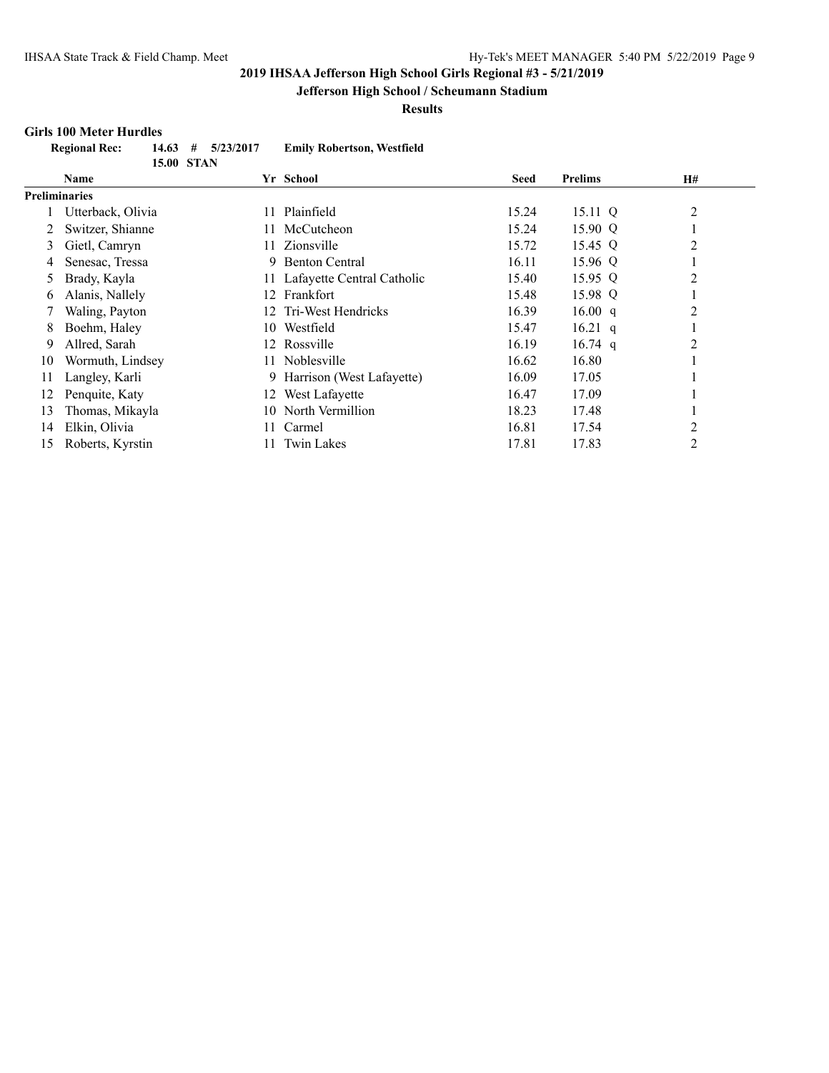## **Jefferson High School / Scheumann Stadium**

**Results**

#### **Girls 100 Meter Hurdles**

| <b>Regional Rec:</b> |                   | $14.63$ # $5/23/2017$ | <b>Emily Robertson, Westfield</b> |
|----------------------|-------------------|-----------------------|-----------------------------------|
|                      | <b>15.00 STAN</b> |                       |                                   |

|                      | <b>Name</b>       |      | Yr School                     | Seed  | <b>Prelims</b> | <b>H#</b>      |
|----------------------|-------------------|------|-------------------------------|-------|----------------|----------------|
| <b>Preliminaries</b> |                   |      |                               |       |                |                |
|                      | Utterback, Olivia | 11.  | Plainfield                    | 15.24 | 15.11 Q        | 2              |
|                      | Switzer, Shianne  |      | 11 McCutcheon                 | 15.24 | 15.90 Q        |                |
| 3                    | Gietl, Camryn     | 11.  | Zionsville                    | 15.72 | 15.45 Q        | 2              |
| 4                    | Senesac, Tressa   | 9    | <b>Benton Central</b>         | 16.11 | 15.96 Q        |                |
| 5                    | Brady, Kayla      |      | 11 Lafayette Central Catholic | 15.40 | 15.95 Q        | 2              |
| 6                    | Alanis, Nallely   | 12.  | Frankfort                     | 15.48 | 15.98 Q        |                |
|                      | Waling, Payton    |      | 12 Tri-West Hendricks         | 16.39 | 16.00 q        | 2              |
| 8                    | Boehm, Haley      | 10-  | Westfield                     | 15.47 | $16.21$ q      |                |
| 9                    | Allred, Sarah     | 12.  | Rossville                     | 16.19 | $16.74$ q      | 2              |
| 10                   | Wormuth, Lindsey  | 11.  | Noblesville                   | 16.62 | 16.80          |                |
| 11                   | Langley, Karli    |      | 9 Harrison (West Lafayette)   | 16.09 | 17.05          |                |
| 12                   | Penquite, Katy    | 12 - | West Lafayette                | 16.47 | 17.09          |                |
| 13                   | Thomas, Mikayla   |      | 10 North Vermillion           | 18.23 | 17.48          |                |
| 14                   | Elkin, Olivia     | 11.  | Carmel                        | 16.81 | 17.54          | 2              |
| 15                   | Roberts, Kyrstin  | 11.  | <b>Twin Lakes</b>             | 17.81 | 17.83          | $\overline{c}$ |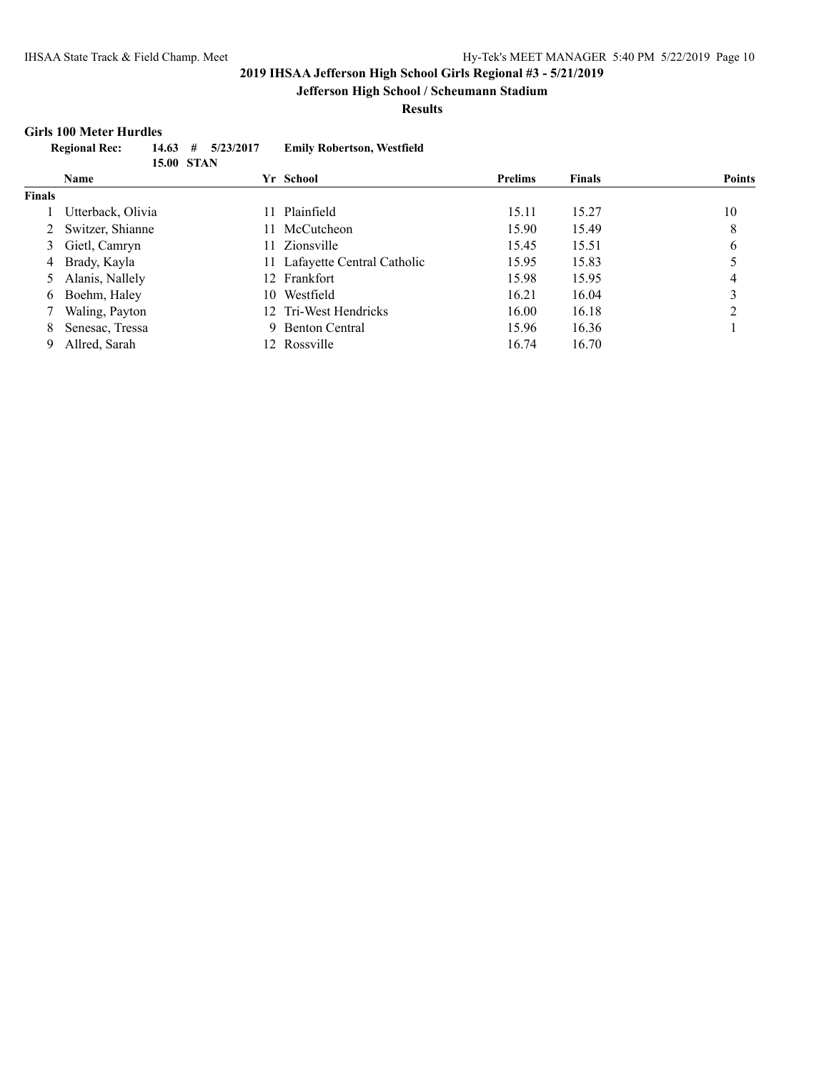## **Jefferson High School / Scheumann Stadium**

**Results**

#### **Girls 100 Meter Hurdles**

| <b>Regional Rec:</b> |                   | $14.63$ # $5/23/2017$ | <b>Emily Robertson, Westfield</b> |
|----------------------|-------------------|-----------------------|-----------------------------------|
|                      | <b>15.00 STAN</b> |                       |                                   |
| Name                 |                   |                       | Yr School                         |

|               | <b>Name</b>       |     | Yr School                     | <b>Prelims</b> | Finals | <b>Points</b> |
|---------------|-------------------|-----|-------------------------------|----------------|--------|---------------|
| <b>Finals</b> |                   |     |                               |                |        |               |
|               | Utterback, Olivia | 11. | Plainfield                    | 15.11          | 15.27  | 10            |
| 2             | Switzer, Shianne  | 11. | McCutcheon                    | 15.90          | 15.49  | 8             |
|               | Gietl, Camryn     | 11. | Zionsville                    | 15.45          | 15.51  | 6             |
| 4             | Brady, Kayla      |     | 11 Lafayette Central Catholic | 15.95          | 15.83  |               |
|               | Alanis, Nallely   |     | 12 Frankfort                  | 15.98          | 15.95  | 4             |
| 6.            | Boehm, Haley      |     | 10 Westfield                  | 16.21          | 16.04  |               |
|               | Waling, Payton    |     | 12 Tri-West Hendricks         | 16.00          | 16.18  |               |
| 8.            | Senesac, Tressa   |     | 9 Benton Central              | 15.96          | 16.36  |               |
|               | Allred, Sarah     |     | 12 Rossville                  | 16.74          | 16.70  |               |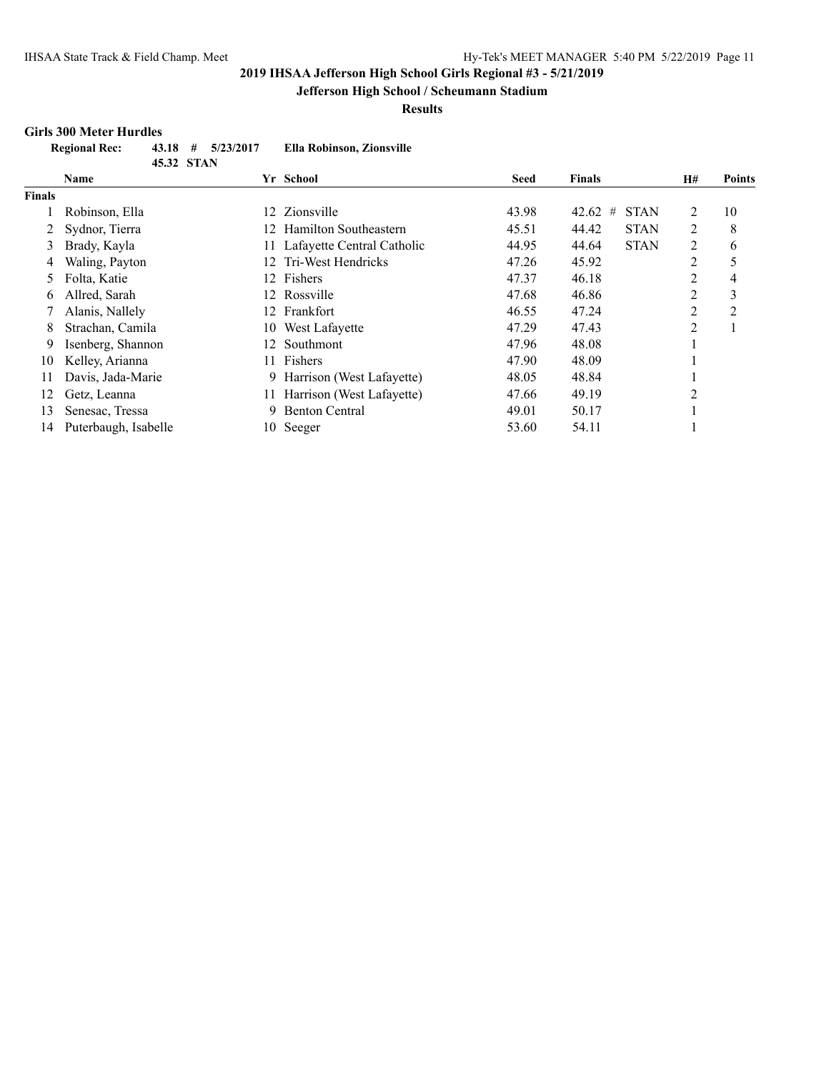## **Jefferson High School / Scheumann Stadium**

**Results**

#### **Girls 300 Meter Hurdles**

| <b>Regional Rec:</b> |            | $43.18$ # $5/23/2017$ | Ella Robinson, Zionsville |
|----------------------|------------|-----------------------|---------------------------|
|                      | 45.32 STAN |                       |                           |

|               | Name                 |     | Yr School                     | <b>Seed</b> | <b>Finals</b>             | <b>H#</b>      | <b>Points</b> |
|---------------|----------------------|-----|-------------------------------|-------------|---------------------------|----------------|---------------|
| <b>Finals</b> |                      |     |                               |             |                           |                |               |
|               | Robinson, Ella       |     | 12 Zionsville                 | 43.98       | #<br><b>STAN</b><br>42.62 | 2              | 10            |
|               | Sydnor, Tierra       | 12. | Hamilton Southeastern         | 45.51       | 44.42<br><b>STAN</b>      | 2              | 8             |
| 3             | Brady, Kayla         |     | 11 Lafayette Central Catholic | 44.95       | <b>STAN</b><br>44.64      | 2              | 6             |
| 4             | Waling, Payton       |     | 12 Tri-West Hendricks         | 47.26       | 45.92                     | 2              |               |
| 5             | Folta, Katie         | 12  | Fishers                       | 47.37       | 46.18                     | 2              | 4             |
| 6.            | Allred, Sarah        |     | 12 Rossville                  | 47.68       | 46.86                     | 2              | 3             |
|               | Alanis, Nallely      |     | 12 Frankfort                  | 46.55       | 47.24                     | 2              | 2             |
| 8.            | Strachan, Camila     | 10- | West Lafayette                | 47.29       | 47.43                     | $\overline{2}$ |               |
| 9             | Isenberg, Shannon    |     | 12 Southmont                  | 47.96       | 48.08                     |                |               |
| 10            | Kelley, Arianna      | 11. | Fishers                       | 47.90       | 48.09                     |                |               |
| 11            | Davis, Jada-Marie    |     | 9 Harrison (West Lafayette)   | 48.05       | 48.84                     |                |               |
| 12            | Getz, Leanna         |     | 11 Harrison (West Lafayette)  | 47.66       | 49.19                     | 2              |               |
| 13            | Senesac, Tressa      | 9   | <b>Benton Central</b>         | 49.01       | 50.17                     |                |               |
| 14            | Puterbaugh, Isabelle |     | 10 Seeger                     | 53.60       | 54.11                     |                |               |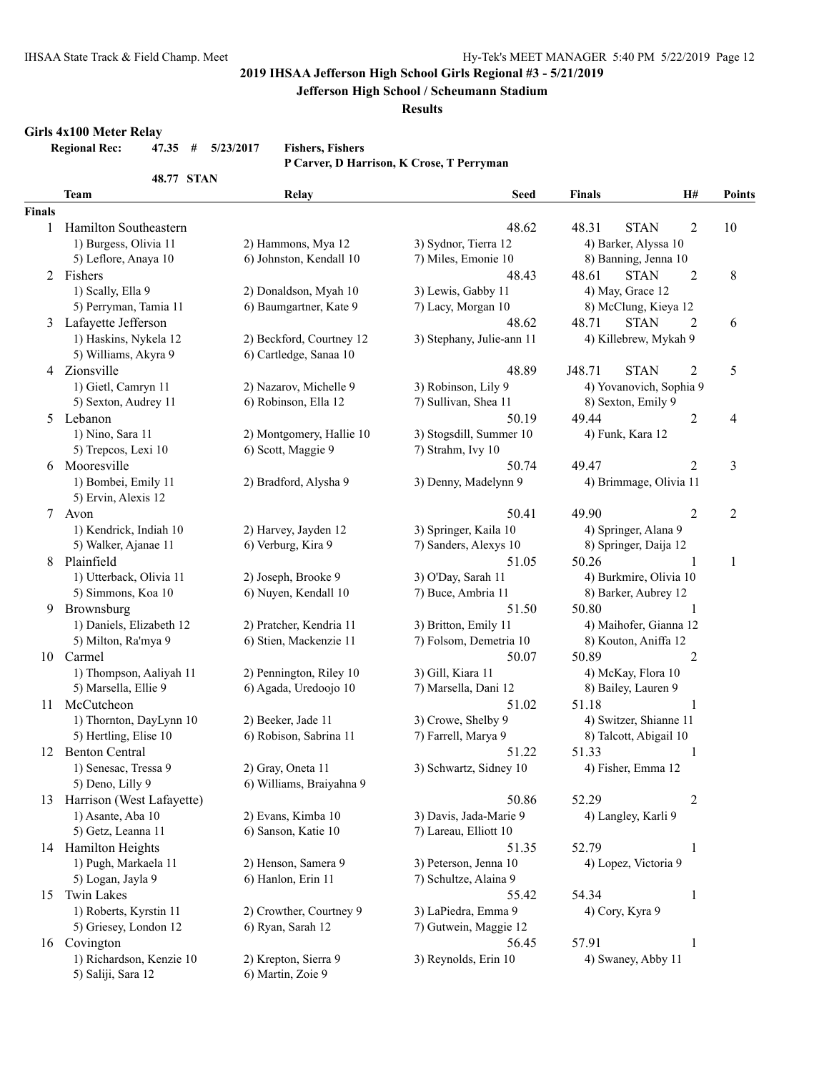**Jefferson High School / Scheumann Stadium**

**Results**

#### **Girls 4x100 Meter Relay**

**Regional Rec: 47.35 # 5/23/2017 Fishers, Fishers**

**P Carver, D Harrison, K Crose, T Perryman**

|               | 48.77 STAN                   |                                             |                           |                                               |                                    |
|---------------|------------------------------|---------------------------------------------|---------------------------|-----------------------------------------------|------------------------------------|
|               | Team                         | Relay                                       | Seed                      | H#<br>Finals                                  | <b>Points</b>                      |
| <b>Finals</b> |                              |                                             |                           |                                               |                                    |
| 1             | Hamilton Southeastern        |                                             | 48.62                     | 48.31<br><b>STAN</b>                          | $\overline{2}$<br>10               |
|               | 1) Burgess, Olivia 11        | 2) Hammons, Mya 12                          | 3) Sydnor, Tierra 12      | 4) Barker, Alyssa 10                          |                                    |
|               | 5) Leflore, Anaya 10         | 6) Johnston, Kendall 10                     | 7) Miles, Emonie 10       | 8) Banning, Jenna 10                          |                                    |
|               | 2 Fishers                    |                                             | 48.43                     | <b>STAN</b><br>48.61                          | $\overline{2}$<br>$8\,$            |
|               | 1) Scally, Ella 9            | 2) Donaldson, Myah 10                       | 3) Lewis, Gabby 11        | 4) May, Grace 12                              |                                    |
|               | 5) Perryman, Tamia 11        | 6) Baumgartner, Kate 9                      | 7) Lacy, Morgan 10        | 8) McClung, Kieya 12                          |                                    |
|               | 3 Lafayette Jefferson        |                                             | 48.62                     | <b>STAN</b><br>48.71                          | $\overline{2}$<br>6                |
|               | 1) Haskins, Nykela 12        | 2) Beckford, Courtney 12                    | 3) Stephany, Julie-ann 11 | 4) Killebrew, Mykah 9                         |                                    |
|               | 5) Williams, Akyra 9         | 6) Cartledge, Sanaa 10                      |                           |                                               |                                    |
|               | 4 Zionsville                 |                                             | 48.89                     | J48.71<br><b>STAN</b>                         | $\overline{2}$<br>5                |
|               | 1) Gietl, Camryn 11          | 2) Nazarov, Michelle 9                      | 3) Robinson, Lily 9       | 4) Yovanovich, Sophia 9                       |                                    |
|               | 5) Sexton, Audrey 11         | 6) Robinson, Ella 12                        | 7) Sullivan, Shea 11      | 8) Sexton, Emily 9                            |                                    |
|               | 5 Lebanon                    |                                             | 50.19                     | 49.44                                         | $\overline{2}$<br>4                |
|               | 1) Nino, Sara 11             | 2) Montgomery, Hallie 10                    | 3) Stogsdill, Summer 10   | 4) Funk, Kara 12                              |                                    |
|               | 5) Trepcos, Lexi 10          | 6) Scott, Maggie 9                          | 7) Strahm, Ivy 10         |                                               |                                    |
| 6             | Mooresville                  |                                             | 50.74                     | 49.47                                         | $\overline{2}$<br>3                |
|               | 1) Bombei, Emily 11          | 2) Bradford, Alysha 9                       | 3) Denny, Madelynn 9      | 4) Brimmage, Olivia 11                        |                                    |
|               | 5) Ervin, Alexis 12          |                                             |                           |                                               |                                    |
|               | 7 Avon                       |                                             | 50.41                     | 49.90                                         | $\boldsymbol{2}$<br>$\overline{c}$ |
|               | 1) Kendrick, Indiah 10       | 2) Harvey, Jayden 12                        | 3) Springer, Kaila 10     |                                               |                                    |
|               | 5) Walker, Ajanae 11         | 6) Verburg, Kira 9                          | 7) Sanders, Alexys 10     | 4) Springer, Alana 9<br>8) Springer, Daija 12 |                                    |
|               | Plainfield                   |                                             | 51.05                     | 50.26                                         |                                    |
| 8             |                              |                                             | 3) O'Day, Sarah 11        | 4) Burkmire, Olivia 10                        | 1<br>1                             |
|               | 1) Utterback, Olivia 11      | 2) Joseph, Brooke 9<br>6) Nuyen, Kendall 10 |                           |                                               |                                    |
|               | 5) Simmons, Koa 10           |                                             | 7) Buce, Ambria 11        | 8) Barker, Aubrey 12                          |                                    |
| 9.            | Brownsburg                   |                                             | 51.50                     | 50.80                                         | 1                                  |
|               | 1) Daniels, Elizabeth 12     | 2) Pratcher, Kendria 11                     | 3) Britton, Emily 11      | 4) Maihofer, Gianna 12                        |                                    |
|               | 5) Milton, Ra'mya 9          | 6) Stien, Mackenzie 11                      | 7) Folsom, Demetria 10    | 8) Kouton, Aniffa 12                          |                                    |
|               | 10 Carmel                    |                                             | 50.07                     | 50.89                                         | $\boldsymbol{2}$                   |
|               | 1) Thompson, Aaliyah 11      | 2) Pennington, Riley 10                     | 3) Gill, Kiara 11         | 4) McKay, Flora 10                            |                                    |
|               | 5) Marsella, Ellie 9         | 6) Agada, Uredoojo 10                       | 7) Marsella, Dani 12      | 8) Bailey, Lauren 9                           |                                    |
|               | 11 McCutcheon                |                                             | 51.02                     | 51.18                                         | $\mathbf{1}$                       |
|               | 1) Thornton, DayLynn 10      | 2) Beeker, Jade 11                          | 3) Crowe, Shelby 9        | 4) Switzer, Shianne 11                        |                                    |
|               | 5) Hertling, Elise 10        | 6) Robison, Sabrina 11                      | 7) Farrell, Marya 9       | 8) Talcott, Abigail 10                        |                                    |
| 12            | <b>Benton Central</b>        |                                             | 51.22                     | 51.33                                         | 1                                  |
|               | 1) Senesac, Tressa 9         | 2) Gray, Oneta 11                           | 3) Schwartz, Sidney 10    | 4) Fisher, Emma 12                            |                                    |
|               | 5) Deno, Lilly 9             | 6) Williams, Braiyahna 9                    |                           |                                               |                                    |
|               | 13 Harrison (West Lafayette) |                                             | 50.86                     | 52.29                                         | $\overline{c}$                     |
|               | 1) Asante, Aba 10            | 2) Evans, Kimba 10                          | 3) Davis, Jada-Marie 9    | 4) Langley, Karli 9                           |                                    |
|               | 5) Getz, Leanna 11           | 6) Sanson, Katie 10                         | 7) Lareau, Elliott 10     |                                               |                                    |
|               | 14 Hamilton Heights          |                                             | 51.35                     | 52.79                                         | 1                                  |
|               | 1) Pugh, Markaela 11         | 2) Henson, Samera 9                         | 3) Peterson, Jenna 10     | 4) Lopez, Victoria 9                          |                                    |
|               | 5) Logan, Jayla 9            | 6) Hanlon, Erin 11                          | 7) Schultze, Alaina 9     |                                               |                                    |
| 15            | Twin Lakes                   |                                             | 55.42                     | 54.34                                         | 1                                  |
|               | 1) Roberts, Kyrstin 11       | 2) Crowther, Courtney 9                     | 3) LaPiedra, Emma 9       | 4) Cory, Kyra 9                               |                                    |
|               | 5) Griesey, London 12        | 6) Ryan, Sarah 12                           | 7) Gutwein, Maggie 12     |                                               |                                    |
|               | 16 Covington                 |                                             | 56.45                     | 57.91                                         | 1                                  |
|               | 1) Richardson, Kenzie 10     | 2) Krepton, Sierra 9                        | 3) Reynolds, Erin 10      | 4) Swaney, Abby 11                            |                                    |
|               | 5) Saliji, Sara 12           | 6) Martin, Zoie 9                           |                           |                                               |                                    |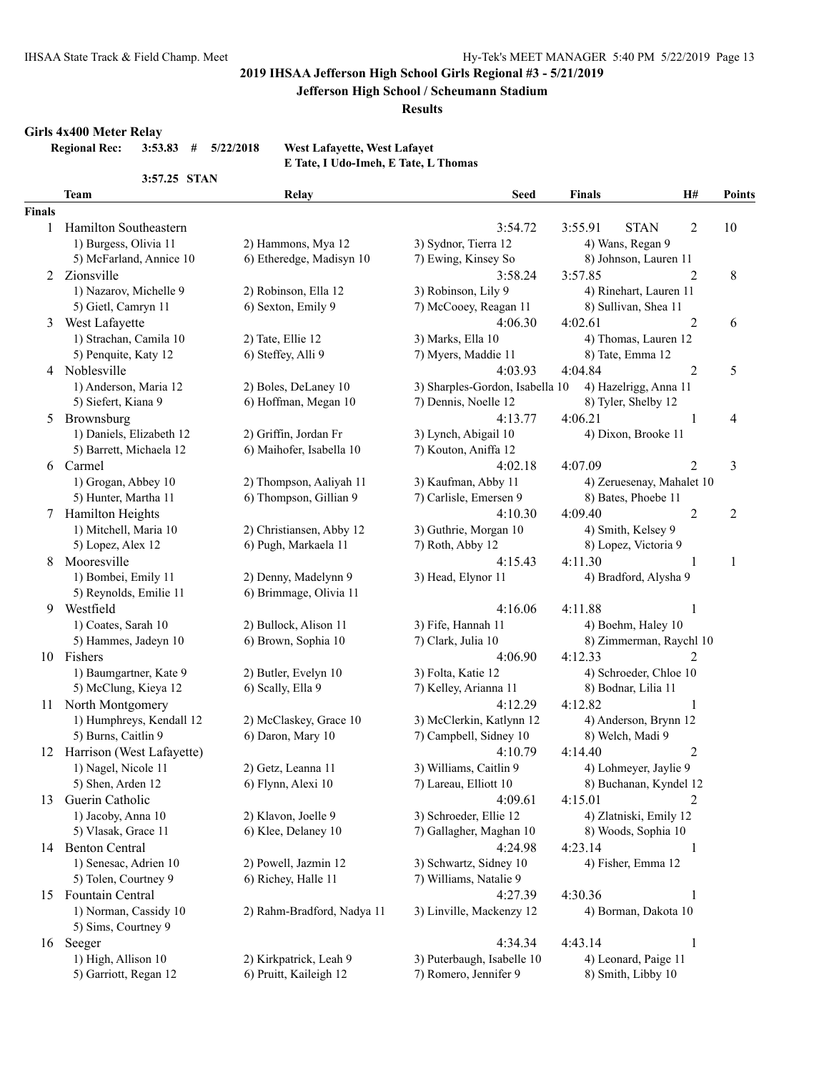**Jefferson High School / Scheumann Stadium**

**Results**

#### **Girls 4x400 Meter Relay**

**Regional Rec: 3:53.83 # 5/22/2018 West Lafayette, West Lafayet**

**E Tate, I Udo-Imeh, E Tate, L Thomas**

|               | 3:57.25 STAN              |                            |                                 |                  |                           |               |
|---------------|---------------------------|----------------------------|---------------------------------|------------------|---------------------------|---------------|
|               | Team                      | Relay                      | <b>Seed</b>                     | <b>Finals</b>    | H#                        | <b>Points</b> |
| <b>Finals</b> |                           |                            |                                 |                  |                           |               |
| 1             | Hamilton Southeastern     |                            | 3:54.72                         | 3:55.91          | <b>STAN</b><br>2          | 10            |
|               | 1) Burgess, Olivia 11     | 2) Hammons, Mya 12         | 3) Sydnor, Tierra 12            |                  | 4) Wans, Regan 9          |               |
|               | 5) McFarland, Annice 10   | 6) Etheredge, Madisyn 10   | 7) Ewing, Kinsey So             |                  | 8) Johnson, Lauren 11     |               |
|               | 2 Zionsville              |                            | 3:58.24                         | 3:57.85          | $\overline{2}$            | 8             |
|               | 1) Nazarov, Michelle 9    | 2) Robinson, Ella 12       | 3) Robinson, Lily 9             |                  | 4) Rinehart, Lauren 11    |               |
|               | 5) Gietl, Camryn 11       | 6) Sexton, Emily 9         | 7) McCooey, Reagan 11           |                  | 8) Sullivan, Shea 11      |               |
| 3             | West Lafayette            |                            | 4:06.30                         | 4:02.61          | $\overline{2}$            | 6             |
|               | 1) Strachan, Camila 10    | 2) Tate, Ellie 12          | 3) Marks, Ella 10               |                  | 4) Thomas, Lauren 12      |               |
|               | 5) Penquite, Katy 12      | 6) Steffey, Alli 9         | 7) Myers, Maddie 11             | 8) Tate, Emma 12 |                           |               |
|               | 4 Noblesville             |                            | 4:03.93                         | 4:04.84          | $\overline{2}$            | 5             |
|               | 1) Anderson, Maria 12     | 2) Boles, DeLaney 10       | 3) Sharples-Gordon, Isabella 10 |                  | 4) Hazelrigg, Anna 11     |               |
|               | 5) Siefert, Kiana 9       | 6) Hoffman, Megan 10       | 7) Dennis, Noelle 12            |                  | 8) Tyler, Shelby 12       |               |
| 5             | Brownsburg                |                            | 4:13.77                         | 4:06.21          | 1                         | 4             |
|               | 1) Daniels, Elizabeth 12  | 2) Griffin, Jordan Fr      | 3) Lynch, Abigail 10            |                  | 4) Dixon, Brooke 11       |               |
|               | 5) Barrett, Michaela 12   | 6) Maihofer, Isabella 10   | 7) Kouton, Aniffa 12            |                  |                           |               |
| 6.            | Carmel                    |                            | 4:02.18                         | 4:07.09          | 2                         | 3             |
|               | 1) Grogan, Abbey 10       | 2) Thompson, Aaliyah 11    | 3) Kaufman, Abby 11             |                  | 4) Zeruesenay, Mahalet 10 |               |
|               | 5) Hunter, Martha 11      | 6) Thompson, Gillian 9     | 7) Carlisle, Emersen 9          |                  | 8) Bates, Phoebe 11       |               |
|               | 7 Hamilton Heights        |                            | 4:10.30                         | 4:09.40          | 2                         | 2             |
|               | 1) Mitchell, Maria 10     | 2) Christiansen, Abby 12   | 3) Guthrie, Morgan 10           |                  | 4) Smith, Kelsey 9        |               |
|               | 5) Lopez, Alex 12         | 6) Pugh, Markaela 11       | 7) Roth, Abby 12                |                  | 8) Lopez, Victoria 9      |               |
| 8             | Mooresville               |                            | 4:15.43                         | 4:11.30          | 1                         | 1             |
|               | 1) Bombei, Emily 11       | 2) Denny, Madelynn 9       | 3) Head, Elynor 11              |                  | 4) Bradford, Alysha 9     |               |
|               | 5) Reynolds, Emilie 11    | 6) Brimmage, Olivia 11     |                                 |                  |                           |               |
|               |                           |                            |                                 |                  |                           |               |
| 9.            | Westfield                 |                            | 4:16.06                         | 4:11.88          | 1                         |               |
|               | 1) Coates, Sarah 10       | 2) Bullock, Alison 11      | 3) Fife, Hannah 11              |                  | 4) Boehm, Haley 10        |               |
|               | 5) Hammes, Jadeyn 10      | 6) Brown, Sophia 10        | 7) Clark, Julia 10              |                  | 8) Zimmerman, Raychl 10   |               |
|               | 10 Fishers                |                            | 4:06.90                         | 4:12.33          | 2                         |               |
|               | 1) Baumgartner, Kate 9    | 2) Butler, Evelyn 10       | 3) Folta, Katie 12              |                  | 4) Schroeder, Chloe 10    |               |
|               | 5) McClung, Kieya 12      | 6) Scally, Ella 9          | 7) Kelley, Arianna 11           |                  | 8) Bodnar, Lilia 11       |               |
|               | 11 North Montgomery       |                            | 4:12.29                         | 4:12.82          | 1                         |               |
|               | 1) Humphreys, Kendall 12  | 2) McClaskey, Grace 10     | 3) McClerkin, Katlynn 12        |                  | 4) Anderson, Brynn 12     |               |
|               | 5) Burns, Caitlin 9       | 6) Daron, Mary 10          | 7) Campbell, Sidney 10          | 8) Welch, Madi 9 |                           |               |
| 12            | Harrison (West Lafayette) |                            | 4:10.79                         | 4:14.40          | $\overline{c}$            |               |
|               | 1) Nagel, Nicole 11       | 2) Getz, Leanna 11         | 3) Williams, Caitlin 9          |                  | 4) Lohmeyer, Jaylie 9     |               |
|               | 5) Shen, Arden 12         | 6) Flynn, Alexi 10         | 7) Lareau, Elliott 10           |                  | 8) Buchanan, Kyndel 12    |               |
| 13            | Guerin Catholic           |                            | 4:09.61                         | 4:15.01          | 2                         |               |
|               | 1) Jacoby, Anna 10        | 2) Klavon, Joelle 9        | 3) Schroeder, Ellie 12          |                  | 4) Zlatniski, Emily 12    |               |
|               | 5) Vlasak, Grace 11       | 6) Klee, Delaney 10        | 7) Gallagher, Maghan 10         |                  | 8) Woods, Sophia 10       |               |
|               | 14 Benton Central         |                            | 4:24.98                         | 4:23.14          | 1                         |               |
|               | 1) Senesac, Adrien 10     | 2) Powell, Jazmin 12       | 3) Schwartz, Sidney 10          |                  | 4) Fisher, Emma 12        |               |
|               | 5) Tolen, Courtney 9      | 6) Richey, Halle 11        | 7) Williams, Natalie 9          |                  |                           |               |
|               | 15 Fountain Central       |                            | 4:27.39                         | 4:30.36          | 1                         |               |
|               | 1) Norman, Cassidy 10     | 2) Rahm-Bradford, Nadya 11 | 3) Linville, Mackenzy 12        |                  | 4) Borman, Dakota 10      |               |
|               | 5) Sims, Courtney 9       |                            |                                 |                  |                           |               |
|               | 16 Seeger                 |                            | 4:34.34                         | 4:43.14          | 1                         |               |
|               | 1) High, Allison 10       | 2) Kirkpatrick, Leah 9     | 3) Puterbaugh, Isabelle 10      |                  | 4) Leonard, Paige 11      |               |
|               | 5) Garriott, Regan 12     | 6) Pruitt, Kaileigh 12     | 7) Romero, Jennifer 9           |                  | 8) Smith, Libby 10        |               |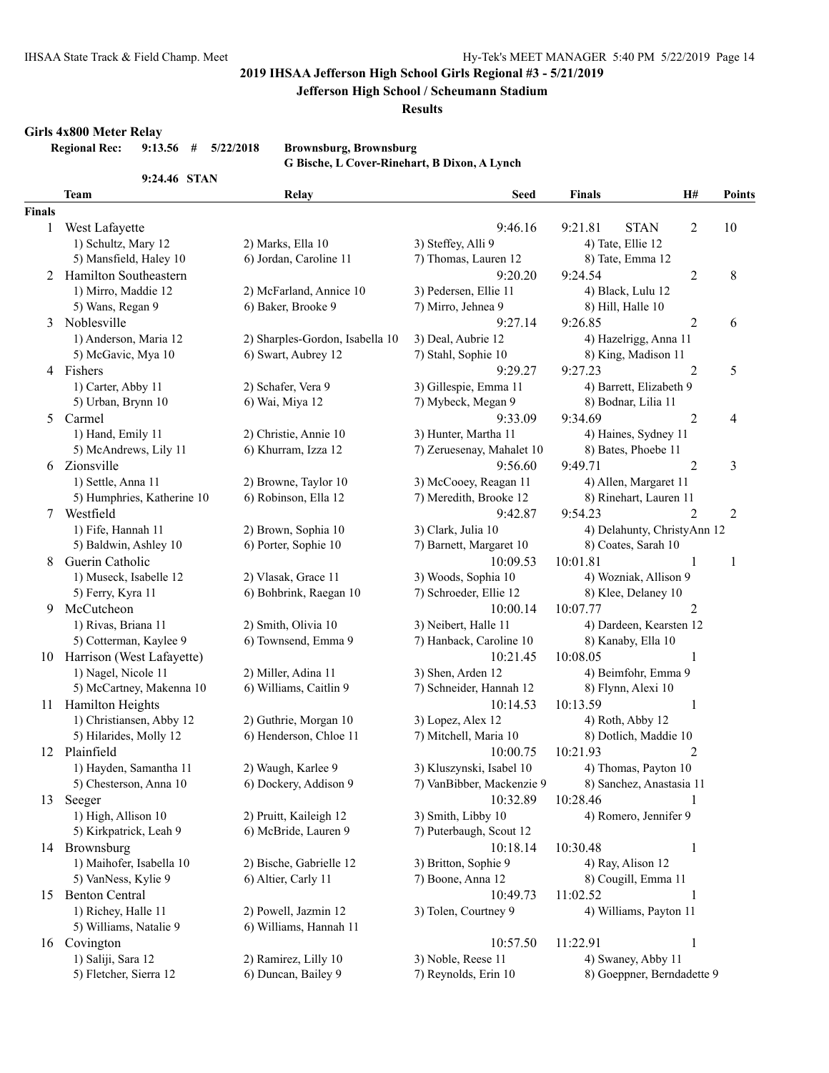**Jefferson High School / Scheumann Stadium**

#### **Results**

#### **Girls 4x800 Meter Relay**

**Regional Rec: 9:13.56 # 5/22/2018 Brownsburg, Brownsburg**

**G Bische, L Cover-Rinehart, B Dixon, A Lynch**

|               | 9:24.46 STAN                 |                                 |                                  |                             |                  |                |
|---------------|------------------------------|---------------------------------|----------------------------------|-----------------------------|------------------|----------------|
|               | <b>Team</b>                  | Relay                           | Seed                             | <b>Finals</b>               | H#               | <b>Points</b>  |
| <b>Finals</b> |                              |                                 |                                  |                             |                  |                |
| 1             | West Lafayette               |                                 | 9:46.16                          | 9:21.81<br><b>STAN</b>      | 2                | 10             |
|               | 1) Schultz, Mary 12          | 2) Marks, Ella 10               | 3) Steffey, Alli 9               | 4) Tate, Ellie 12           |                  |                |
|               | 5) Mansfield, Haley 10       | 6) Jordan, Caroline 11          | 7) Thomas, Lauren 12             | 8) Tate, Emma 12            |                  |                |
| 2             | Hamilton Southeastern        |                                 | 9:20.20                          | 9:24.54                     | $\boldsymbol{2}$ | $8\,$          |
|               | 1) Mirro, Maddie 12          | 2) McFarland, Annice 10         | 3) Pedersen, Ellie 11            | 4) Black, Lulu 12           |                  |                |
|               | 5) Wans, Regan 9             | 6) Baker, Brooke 9              | 7) Mirro, Jehnea 9               | 8) Hill, Halle 10           |                  |                |
| 3             | Noblesville                  |                                 | 9:27.14                          | 9:26.85                     | $\overline{2}$   | 6              |
|               | 1) Anderson, Maria 12        | 2) Sharples-Gordon, Isabella 10 | 3) Deal, Aubrie 12               | 4) Hazelrigg, Anna 11       |                  |                |
|               | 5) McGavic, Mya 10           | 6) Swart, Aubrey 12             | 7) Stahl, Sophie 10              | 8) King, Madison 11         |                  |                |
|               | 4 Fishers                    |                                 | 9:29.27                          | 9:27.23                     | $\overline{2}$   | 5              |
|               | 1) Carter, Abby 11           | 2) Schafer, Vera 9              | 3) Gillespie, Emma 11            | 4) Barrett, Elizabeth 9     |                  |                |
|               | 5) Urban, Brynn 10           | 6) Wai, Miya 12                 | 7) Mybeck, Megan 9               | 8) Bodnar, Lilia 11         |                  |                |
| 5             | Carmel                       |                                 | 9:33.09                          | 9:34.69                     | $\overline{2}$   | 4              |
|               | 1) Hand, Emily 11            | 2) Christie, Annie 10           | 3) Hunter, Martha 11             | 4) Haines, Sydney 11        |                  |                |
|               | 5) McAndrews, Lily 11        | 6) Khurram, Izza 12             | 7) Zeruesenay, Mahalet 10        | 8) Bates, Phoebe 11         |                  |                |
| 6             | Zionsville                   |                                 | 9:56.60                          | 9:49.71                     | $\overline{2}$   | 3              |
|               | 1) Settle, Anna 11           | 2) Browne, Taylor 10            | 3) McCooey, Reagan 11            | 4) Allen, Margaret 11       |                  |                |
|               | 5) Humphries, Katherine 10   | 6) Robinson, Ella 12            | 7) Meredith, Brooke 12           | 8) Rinehart, Lauren 11      |                  |                |
| 7             | Westfield                    |                                 | 9:42.87                          | 9:54.23                     | 2                | $\overline{c}$ |
|               | 1) Fife, Hannah 11           | 2) Brown, Sophia 10             | 3) Clark, Julia 10               | 4) Delahunty, ChristyAnn 12 |                  |                |
|               | 5) Baldwin, Ashley 10        | 6) Porter, Sophie 10            | 7) Barnett, Margaret 10          | 8) Coates, Sarah 10         |                  |                |
| 8             | Guerin Catholic              |                                 | 10:09.53                         | 10:01.81                    | 1                | 1              |
|               | 1) Museck, Isabelle 12       | 2) Vlasak, Grace 11             | 3) Woods, Sophia 10              | 4) Wozniak, Allison 9       |                  |                |
|               | 5) Ferry, Kyra 11            | 6) Bohbrink, Raegan 10          | 7) Schroeder, Ellie 12           | 8) Klee, Delaney 10         |                  |                |
|               | McCutcheon                   |                                 |                                  | 10:07.77                    | $\overline{2}$   |                |
| 9             |                              |                                 | 10:00.14<br>3) Neibert, Halle 11 |                             |                  |                |
|               | 1) Rivas, Briana 11          | 2) Smith, Olivia 10             |                                  | 4) Dardeen, Kearsten 12     |                  |                |
|               | 5) Cotterman, Kaylee 9       | 6) Townsend, Emma 9             | 7) Hanback, Caroline 10          | 8) Kanaby, Ella 10          |                  |                |
|               | 10 Harrison (West Lafayette) |                                 | 10:21.45                         | 10:08.05                    | 1                |                |
|               | 1) Nagel, Nicole 11          | 2) Miller, Adina 11             | 3) Shen, Arden 12                | 4) Beimfohr, Emma 9         |                  |                |
|               | 5) McCartney, Makenna 10     | 6) Williams, Caitlin 9          | 7) Schneider, Hannah 12          | 8) Flynn, Alexi 10          |                  |                |
| 11            | <b>Hamilton Heights</b>      |                                 | 10:14.53                         | 10:13.59                    | 1                |                |
|               | 1) Christiansen, Abby 12     | 2) Guthrie, Morgan 10           | 3) Lopez, Alex 12                | 4) Roth, Abby 12            |                  |                |
|               | 5) Hilarides, Molly 12       | 6) Henderson, Chloe 11          | 7) Mitchell, Maria 10            | 8) Dotlich, Maddie 10       |                  |                |
|               | 12 Plainfield                |                                 | 10:00.75                         | 10:21.93                    | 2                |                |
|               | 1) Hayden, Samantha 11       | 2) Waugh, Karlee 9              | 3) Kluszynski, Isabel 10         | 4) Thomas, Payton 10        |                  |                |
|               | 5) Chesterson, Anna 10       | 6) Dockery, Addison 9           | 7) VanBibber, Mackenzie 9        | 8) Sanchez, Anastasia 11    |                  |                |
|               | 13 Seeger                    |                                 | 10:32.89                         | 10:28.46                    | 1                |                |
|               | 1) High, Allison 10          | 2) Pruitt, Kaileigh 12          | 3) Smith, Libby 10               | 4) Romero, Jennifer 9       |                  |                |
|               | 5) Kirkpatrick, Leah 9       | 6) McBride, Lauren 9            | 7) Puterbaugh, Scout 12          |                             |                  |                |
|               | 14 Brownsburg                |                                 | 10:18.14                         | 10:30.48                    | 1                |                |
|               | 1) Maihofer, Isabella 10     | 2) Bische, Gabrielle 12         | 3) Britton, Sophie 9             | 4) Ray, Alison 12           |                  |                |
|               | 5) VanNess, Kylie 9          | 6) Altier, Carly 11             | 7) Boone, Anna 12                | 8) Cougill, Emma 11         |                  |                |
| 15            | <b>Benton Central</b>        |                                 | 10:49.73                         | 11:02.52                    | $\mathbf{1}$     |                |
|               | 1) Richey, Halle 11          | 2) Powell, Jazmin 12            | 3) Tolen, Courtney 9             | 4) Williams, Payton 11      |                  |                |
|               | 5) Williams, Natalie 9       | 6) Williams, Hannah 11          |                                  |                             |                  |                |
|               | 16 Covington                 |                                 | 10:57.50                         | 11:22.91                    | $\mathbf{1}$     |                |
|               | 1) Saliji, Sara 12           | 2) Ramirez, Lilly 10            | 3) Noble, Reese 11               | 4) Swaney, Abby 11          |                  |                |
|               | 5) Fletcher, Sierra 12       | 6) Duncan, Bailey 9             | 7) Reynolds, Erin 10             | 8) Goeppner, Berndadette 9  |                  |                |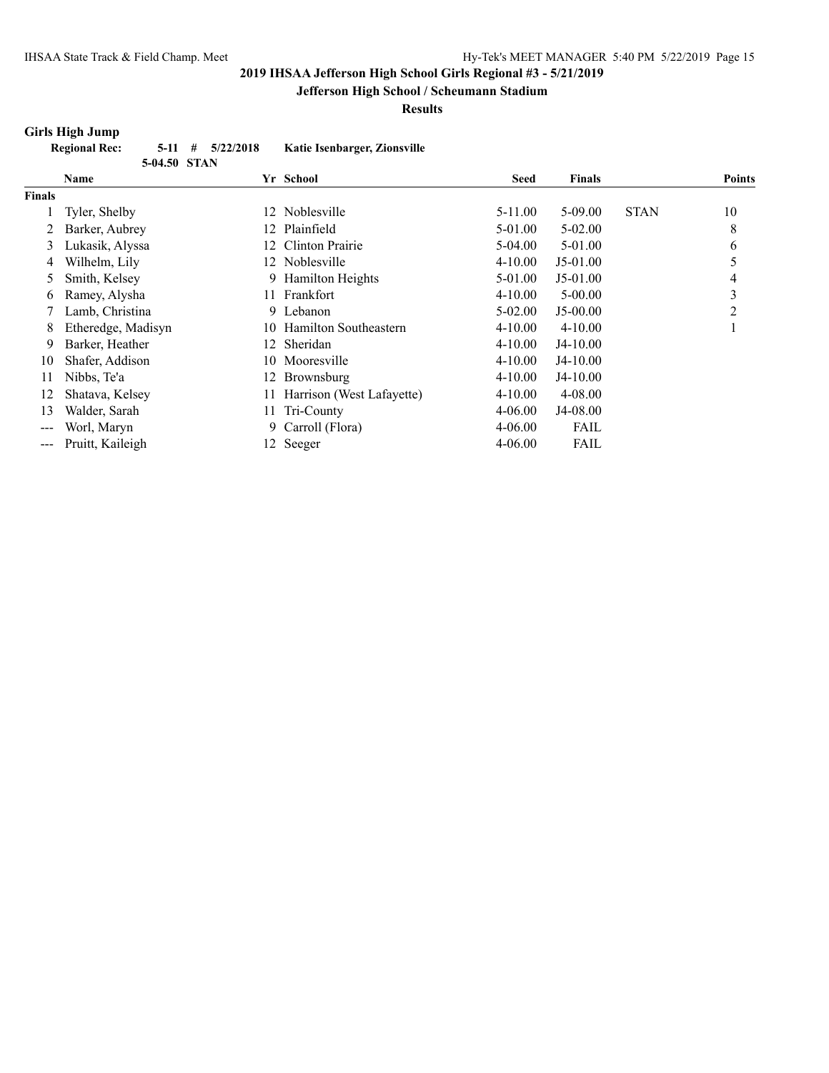#### **Jefferson High School / Scheumann Stadium**

**Results**

#### **Girls High Jump**

|               | <b>Regional Rec:</b><br>5-11<br>5-04.50 STAN | 5/22/2018<br># | Katie Isenbarger, Zionsville |             |               |             |               |
|---------------|----------------------------------------------|----------------|------------------------------|-------------|---------------|-------------|---------------|
|               | <b>Name</b>                                  |                | Yr School                    | Seed        | <b>Finals</b> |             | <b>Points</b> |
| <b>Finals</b> |                                              |                |                              |             |               |             |               |
|               | Tyler, Shelby                                | 12.            | Noblesville                  | 5-11.00     | $5-09.00$     | <b>STAN</b> | 10            |
|               | Barker, Aubrey                               |                | 12 Plainfield                | 5-01.00     | $5 - 02.00$   |             | 8             |
| 3             | Lukasik, Alyssa                              |                | 12 Clinton Prairie           | $5-04.00$   | 5-01.00       |             | 6             |
| 4             | Wilhelm, Lily                                |                | 12 Noblesville               | $4 - 10.00$ | $J5-01.00$    |             |               |
|               | Smith, Kelsey                                |                | 9 Hamilton Heights           | 5-01.00     | $J5-01.00$    |             | 4             |
| 6             | Ramey, Alysha                                |                | 11 Frankfort                 | $4 - 10.00$ | $5 - 00.00$   |             | 3             |
|               | Lamb, Christina                              |                | 9 Lebanon                    | $5-02.00$   | $J5-00.00$    |             | າ             |
| 8             | Etheredge, Madisyn                           |                | 10 Hamilton Southeastern     | $4 - 10.00$ | $4 - 10.00$   |             |               |
| 9             | Barker, Heather                              |                | 12 Sheridan                  | $4 - 10.00$ | $J4-10.00$    |             |               |
| 10            | Shafer, Addison                              | 10             | Mooresville                  | $4 - 10.00$ | $J4-10.00$    |             |               |

11 Nibbs, Te'a 12 Brownsburg 4-10.00 J4-10.00 12 Shatava, Kelsey 11 Harrison (West Lafayette) 4-10.00 4-08.00 13 Walder, Sarah 11 Tri-County 4-06.00 J4-08.00 -- Worl, Maryn 9 Carroll (Flora) 4-06.00 FAIL -- Pruitt, Kaileigh 12 Seeger 4-06.00 FAIL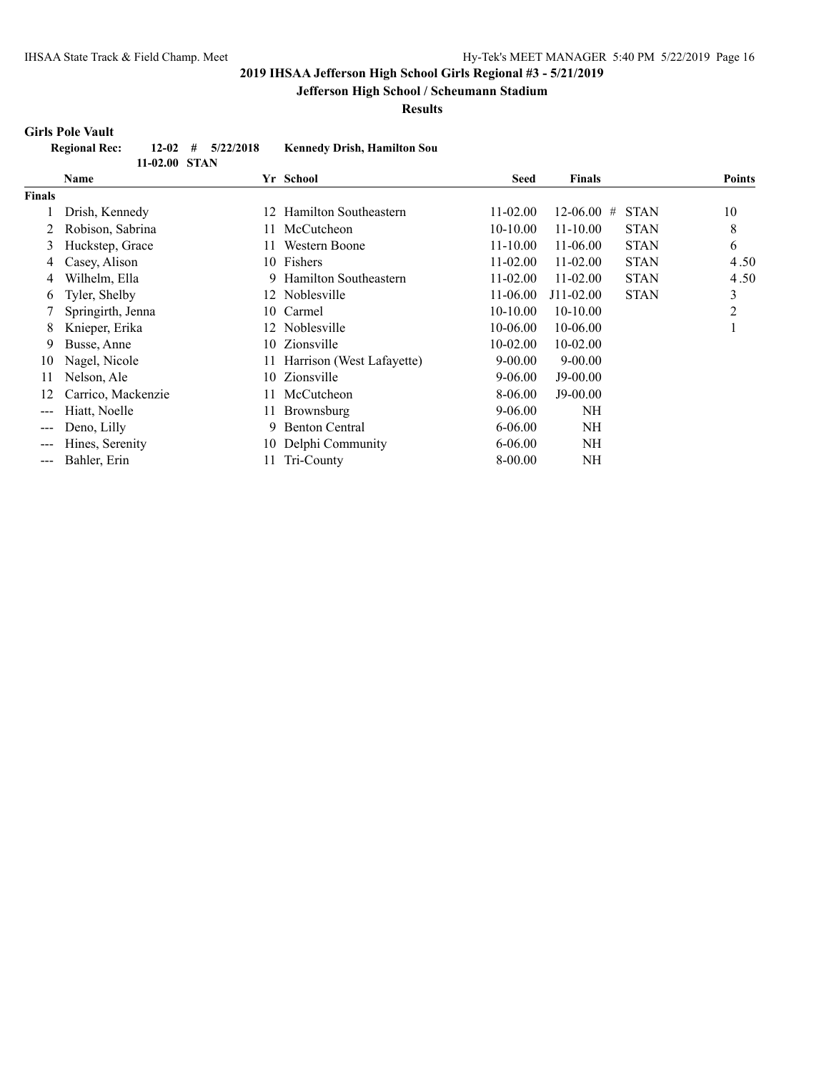## **Jefferson High School / Scheumann Stadium**

**Results**

## **Girls Pole Vault**

| <b>Regional Rec:</b> |               | $12-02$ # $5/22/2018$ | <b>Kennedy Drish, Hamilton Sou</b> |
|----------------------|---------------|-----------------------|------------------------------------|
|                      | 11-02.00 STAN |                       |                                    |

|                        | <b>Name</b>        |     | Yr School                 | <b>Seed</b>  | <b>Finals</b> |             | <b>Points</b> |
|------------------------|--------------------|-----|---------------------------|--------------|---------------|-------------|---------------|
| <b>Finals</b>          |                    |     |                           |              |               |             |               |
|                        | Drish, Kennedy     | 12  | Hamilton Southeastern     | $11 - 02.00$ | 12-06.00<br># | <b>STAN</b> | 10            |
|                        | Robison, Sabrina   | 11. | McCutcheon                | 10-10.00     | $11 - 10.00$  | <b>STAN</b> | 8             |
| 3                      | Huckstep, Grace    | 11. | Western Boone             | $11 - 10.00$ | 11-06.00      | <b>STAN</b> | 6             |
| 4                      | Casey, Alison      |     | 10 Fishers                | $11 - 02.00$ | $11 - 02.00$  | <b>STAN</b> | 4.50          |
| 4                      | Wilhelm, Ella      | 9   | Hamilton Southeastern     | $11 - 02.00$ | $11 - 02.00$  | <b>STAN</b> | 4.50          |
| 6                      | Tyler, Shelby      |     | 12 Noblesville            | 11-06.00     | $J11-02.00$   | <b>STAN</b> | 3             |
|                        | Springirth, Jenna  |     | 10 Carmel                 | 10-10.00     | $10-10.00$    |             | 2             |
| 8                      | Knieper, Erika     | 12  | Noblesville               | 10-06.00     | 10-06.00      |             |               |
| 9                      | Busse, Anne        | 10  | Zionsville                | 10-02.00     | $10 - 02.00$  |             |               |
| 10                     | Nagel, Nicole      |     | Harrison (West Lafayette) | $9 - 00.00$  | $9 - 00.00$   |             |               |
| 11                     | Nelson, Ale        | 10  | Zionsville                | 9-06.00      | $J9-00.00$    |             |               |
| 12                     | Carrico, Mackenzie | 11  | McCutcheon                | 8-06.00      | $J9-00.00$    |             |               |
| $\qquad \qquad \cdots$ | Hiatt, Noelle      | 11  | Brownsburg                | $9 - 06.00$  | NH            |             |               |
| $\qquad \qquad \cdots$ | Deno, Lilly        | 9.  | <b>Benton Central</b>     | $6 - 06.00$  | NH            |             |               |
| ---                    | Hines, Serenity    |     | 10 Delphi Community       | $6 - 06.00$  | NH            |             |               |
| $-- -$                 | Bahler, Erin       | 11. | Tri-County                | 8-00.00      | NH            |             |               |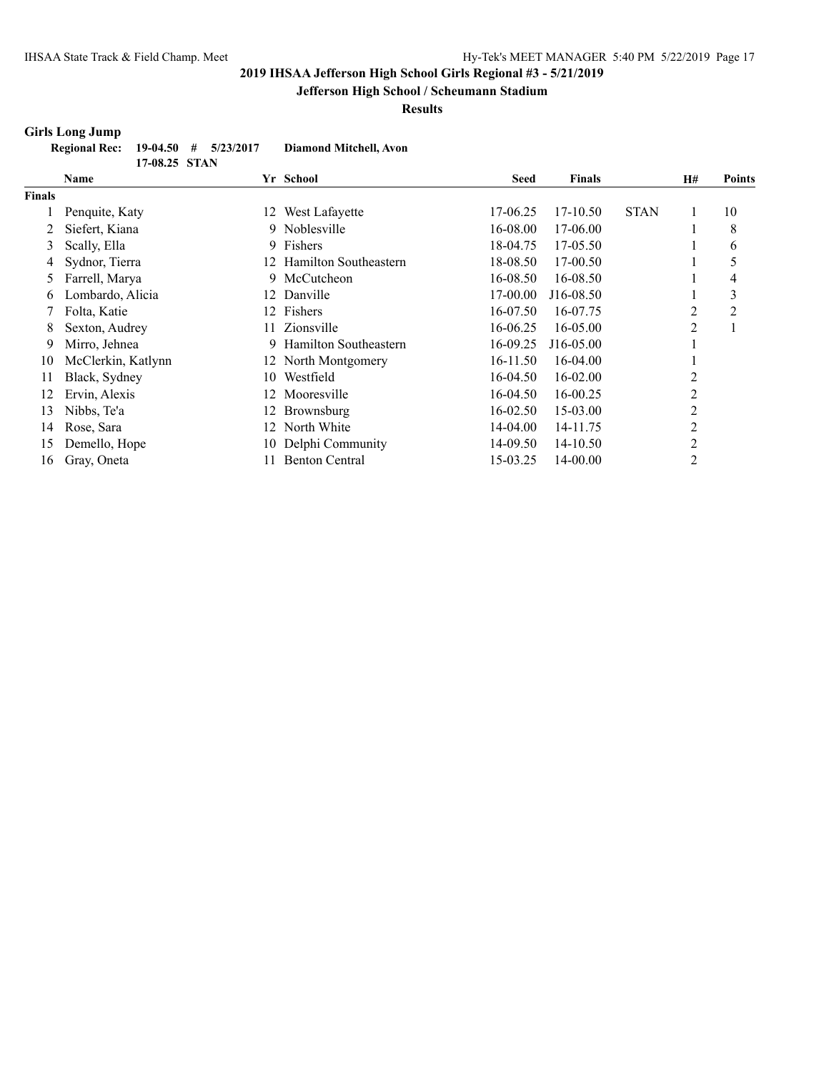## **Jefferson High School / Scheumann Stadium**

**Results**

## **Girls Long Jump**

| Regional Rec: $19-04.50$ # $5/23/2017$ |               |  | Diamond Mitchell, Avon |
|----------------------------------------|---------------|--|------------------------|
|                                        | 17-08.25 STAN |  |                        |

|        | Name               |     | Yr School             | <b>Seed</b> | <b>Finals</b> |             | <b>H#</b>      | <b>Points</b>  |
|--------|--------------------|-----|-----------------------|-------------|---------------|-------------|----------------|----------------|
| Finals |                    |     |                       |             |               |             |                |                |
|        | Penquite, Katy     | 12  | West Lafayette        | 17-06.25    | 17-10.50      | <b>STAN</b> |                | 10             |
|        | Siefert, Kiana     | 9.  | Noblesville           | 16-08.00    | 17-06.00      |             |                | 8              |
| 3      | Scally, Ella       | 9.  | Fishers               | 18-04.75    | 17-05.50      |             |                | 6              |
| 4      | Sydnor, Tierra     | 12. | Hamilton Southeastern | 18-08.50    | 17-00.50      |             |                | 5              |
| 5      | Farrell, Marya     | 9.  | McCutcheon            | 16-08.50    | 16-08.50      |             |                | 4              |
| 6      | Lombardo, Alicia   | 12. | Danville              | 17-00.00    | J16-08.50     |             |                | 3              |
|        | Folta, Katie       | 12. | Fishers               | 16-07.50    | 16-07.75      |             | $\overline{2}$ | $\overline{2}$ |
| 8      | Sexton, Audrey     | 11. | Zionsville            | 16-06.25    | 16-05.00      |             | 2              |                |
| 9      | Mirro, Jehnea      | 9   | Hamilton Southeastern | 16-09.25    | J16-05.00     |             |                |                |
| 10     | McClerkin, Katlynn |     | 12 North Montgomery   | 16-11.50    | 16-04.00      |             |                |                |
| 11     | Black, Sydney      | 10. | Westfield             | 16-04.50    | 16-02.00      |             | 2              |                |
| 12     | Ervin, Alexis      | 12. | Mooresville           | 16-04.50    | 16-00.25      |             | 2              |                |
| 13     | Nibbs, Te'a        | 12  | Brownsburg            | 16-02.50    | 15-03.00      |             | 2              |                |
| 14     | Rose, Sara         | 12  | North White           | 14-04.00    | 14-11.75      |             | $\overline{c}$ |                |
| 15     | Demello, Hope      | 10- | Delphi Community      | 14-09.50    | 14-10.50      |             | 2              |                |
| 16     | Gray, Oneta        |     | <b>Benton Central</b> | 15-03.25    | 14-00.00      |             | $\overline{2}$ |                |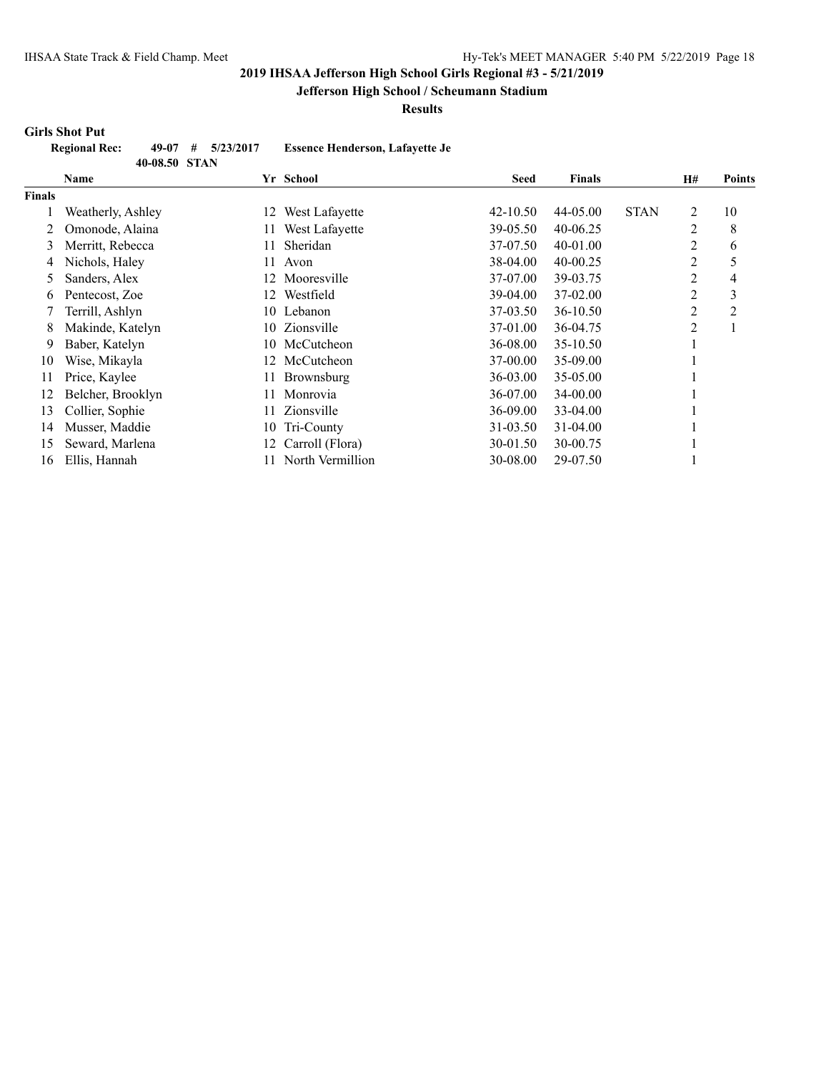# **Jefferson High School / Scheumann Stadium**

**Results**

#### **Girls Shot Put**

| <b>Regional Rec:</b> |               | $49-07$ # $5/23/2017$ | <b>Essence Henderson, Lafavette Je</b> |
|----------------------|---------------|-----------------------|----------------------------------------|
|                      | 40-08.50 STAN |                       |                                        |

|        | Name              |     | Yr School        | <b>Seed</b>  | <b>Finals</b> |             | <b>H#</b> | Points         |
|--------|-------------------|-----|------------------|--------------|---------------|-------------|-----------|----------------|
| Finals |                   |     |                  |              |               |             |           |                |
|        | Weatherly, Ashley | 12  | West Lafayette   | $42 - 10.50$ | 44-05.00      | <b>STAN</b> | 2         | 10             |
| 2      | Omonode, Alaina   | 11  | West Lafayette   | 39-05.50     | $40 - 06.25$  |             | 2         | 8              |
| 3      | Merritt, Rebecca  | 11  | Sheridan         | 37-07.50     | 40-01.00      |             | 2         | 6              |
| 4      | Nichols, Haley    | 11  | Avon             | 38-04.00     | $40 - 00.25$  |             | 2         | 5              |
| 5      | Sanders, Alex     | 12  | Mooresville      | 37-07.00     | 39-03.75      |             | 2         | $\overline{4}$ |
| 6      | Pentecost, Zoe    | 12. | Westfield        | 39-04.00     | 37-02.00      |             | 2         | 3              |
|        | Terrill, Ashlyn   | 10  | Lebanon          | 37-03.50     | 36-10.50      |             | 2         | $\overline{2}$ |
| 8      | Makinde, Katelyn  | 10  | Zionsville       | 37-01.00     | 36-04.75      |             | 2         |                |
| 9      | Baber, Katelyn    |     | 10 McCutcheon    | 36-08.00     | 35-10.50      |             |           |                |
| 10     | Wise, Mikayla     | 12. | McCutcheon       | 37-00.00     | 35-09.00      |             |           |                |
| 11     | Price, Kaylee     | 11  | Brownsburg       | 36-03.00     | 35-05.00      |             |           |                |
| 12     | Belcher, Brooklyn | 11  | Monrovia         | 36-07.00     | 34-00.00      |             |           |                |
| 13     | Collier, Sophie   | 11  | Zionsville       | 36-09.00     | $33 - 04.00$  |             |           |                |
| 14     | Musser, Maddie    | 10  | Tri-County       | 31-03.50     | $31 - 04.00$  |             |           |                |
| 15     | Seward, Marlena   | 12  | Carroll (Flora)  | 30-01.50     | 30-00.75      |             |           |                |
| 16     | Ellis, Hannah     |     | North Vermillion | 30-08.00     | 29-07.50      |             |           |                |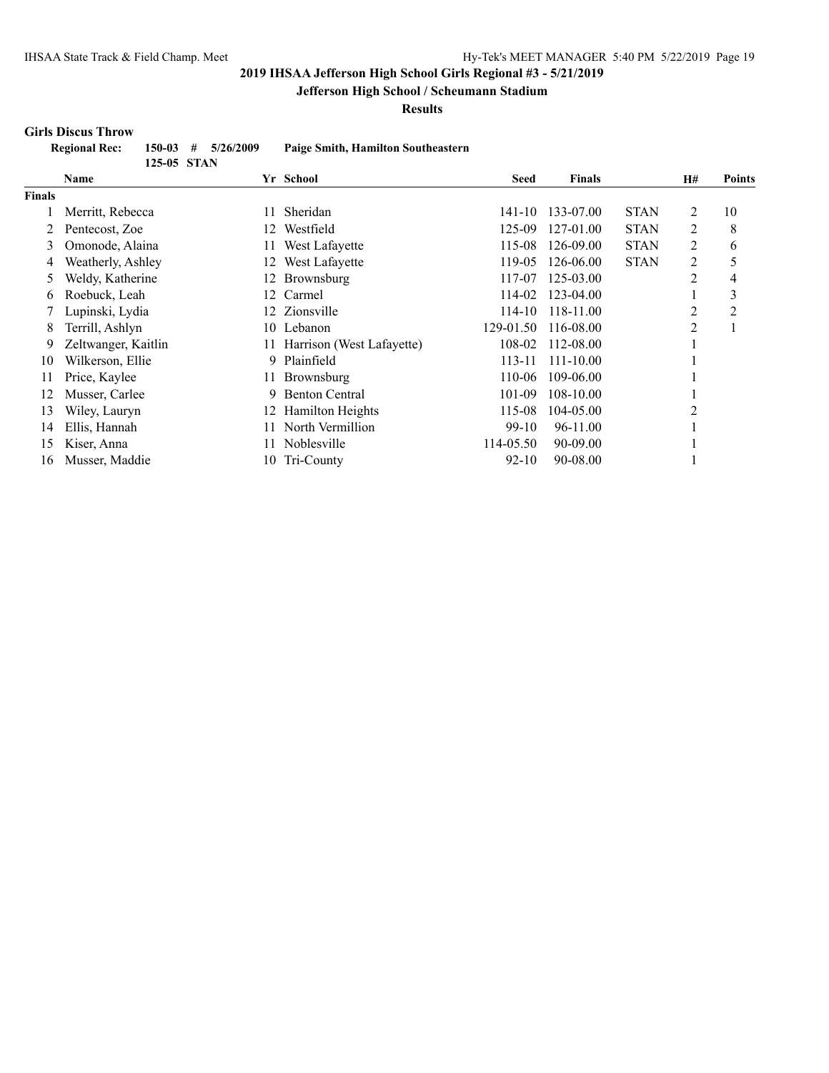## **Jefferson High School / Scheumann Stadium**

**Results**

#### **Girls Discus Throw**

|        | <b>Regional Rec:</b><br>150-03 | 5/26/2009<br>#<br>125-05 STAN | <b>Paige Smith, Hamilton Southeastern</b> |             |               |             |    |                |
|--------|--------------------------------|-------------------------------|-------------------------------------------|-------------|---------------|-------------|----|----------------|
|        | <b>Name</b>                    |                               | Yr School                                 | <b>Seed</b> | <b>Finals</b> |             | H# | <b>Points</b>  |
| Finals |                                |                               |                                           |             |               |             |    |                |
|        | Merritt, Rebecca               | 11                            | Sheridan                                  | 141-10      | 133-07.00     | <b>STAN</b> | 2  | 10             |
|        | Pentecost, Zoe                 | 12                            | Westfield                                 | 125-09      | 127-01.00     | <b>STAN</b> | 2  | 8              |
| 3      | Omonode, Alaina                |                               | West Lafayette                            | 115-08      | 126-09.00     | <b>STAN</b> | 2  | 6              |
| 4      | Weatherly, Ashley              | 12                            | West Lafayette                            | 119-05      | 126-06.00     | <b>STAN</b> | 2  | 5              |
| 5      | Weldy, Katherine               | 12                            | Brownsburg                                | 117-07      | 125-03.00     |             | 2  | 4              |
| 6      | Roebuck, Leah                  | 12                            | Carmel                                    | 114-02      | 123-04.00     |             |    | 3              |
|        | Lupinski, Lydia                | 12.                           | Zionsville                                | 114-10      | 118-11.00     |             | 2  | $\overline{c}$ |
| 8      | Terrill, Ashlyn                | 10                            | Lebanon                                   | 129-01.50   | 116-08.00     |             | 2  |                |
| 9      | Zeltwanger, Kaitlin            |                               | Harrison (West Lafayette)                 | 108-02      | 112-08.00     |             |    |                |
| 10     | Wilkerson, Ellie               | 9                             | Plainfield                                | 113-11      | 111-10.00     |             |    |                |
| 11     | Price, Kaylee                  | 11                            | Brownsburg                                | 110-06      | 109-06.00     |             |    |                |
| 12     | Musser, Carlee                 | 9                             | <b>Benton Central</b>                     | 101-09      | 108-10.00     |             |    |                |
| 13     | Wiley, Lauryn                  | 12                            | Hamilton Heights                          | 115-08      | 104-05.00     |             |    |                |
| 14     | Ellis, Hannah                  | 11                            | North Vermillion                          | $99-10$     | 96-11.00      |             |    |                |
| 15     | Kiser, Anna                    |                               | Noblesville                               | 114-05.50   | 90-09.00      |             |    |                |
| 16     | Musser, Maddie                 | 10                            | Tri-County                                | $92 - 10$   | 90-08.00      |             |    |                |